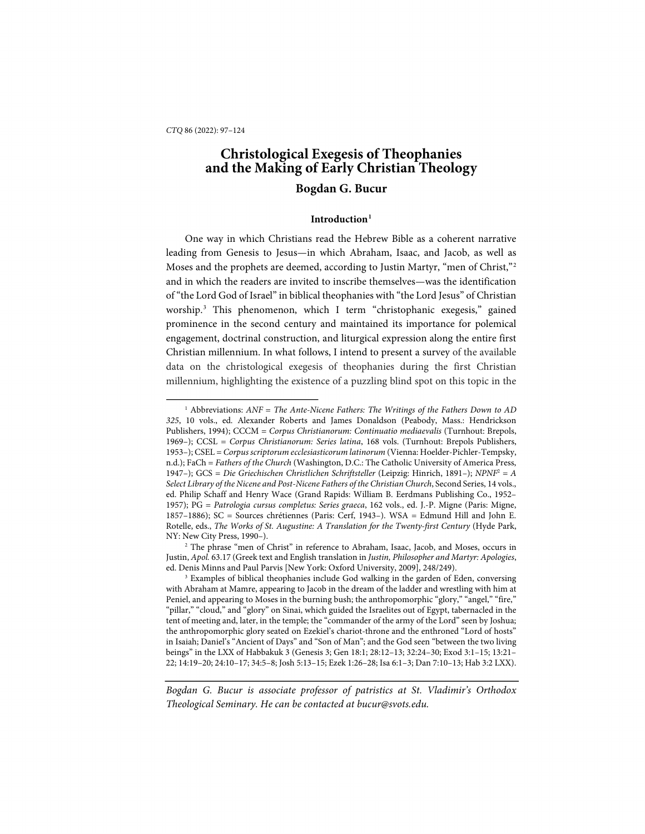-

# **Christological Exegesis of Theophanies and the Making of Early Christian Theology Bogdan G. Bucur**

# **Introduction[1](#page-0-0)**

One way in which Christians read the Hebrew Bible as a coherent narrative leading from Genesis to Jesus—in which Abraham, Isaac, and Jacob, as well as Moses and the prophets are deemed, according to Justin Martyr, "men of Christ,"[2](#page-0-1) and in which the readers are invited to inscribe themselves—was the identification of "the Lord God of Israel" in biblical theophanies with "the Lord Jesus" of Christian worship.[3](#page-0-2) This phenomenon, which I term "christophanic exegesis," gained prominence in the second century and maintained its importance for polemical engagement, doctrinal construction, and liturgical expression along the entire first Christian millennium. In what follows, I intend to present a survey of the available data on the christological exegesis of theophanies during the first Christian millennium, highlighting the existence of a puzzling blind spot on this topic in the

<span id="page-0-0"></span><sup>&</sup>lt;sup>1</sup> Abbreviations: *ANF* = *The Ante-Nicene Fathers: The Writings of the Fathers Down to AD 325*, 10 vols., ed. Alexander Roberts and James Donaldson (Peabody, Mass.: Hendrickson Publishers, 1994); CCCM = *Corpus Christianorum: Continuatio mediaevalis* (Turnhout: Brepols, 1969–); CCSL = *Corpus Christianorum: Series latina*, 168 vols. (Turnhout: Brepols Publishers, 1953–); CSEL = *Corpus scriptorum ecclesiasticorum latinorum* (Vienna: Hoelder-Pichler-Tempsky, n.d.); FaCh = *Fathers of the Church* (Washington, D.C.: The Catholic University of America Press, 1947–); GCS = *Die Griechischen Christlichen Schriftsteller* (Leipzig: Hinrich, 1891–); *NPNF*<sup>2</sup> = *A Select Library of the Nicene and Post-Nicene Fathers of the Christian Church*, Second Series, 14 vols., ed. Philip Schaff and Henry Wace (Grand Rapids: William B. Eerdmans Publishing Co., 1952– 1957); PG = *Patrologia cursus completus: Series graeca*, 162 vols., ed. J.-P. Migne (Paris: Migne, 1857–1886); SC = Sources chrétiennes (Paris: Cerf, 1943–). WSA = Edmund Hill and John E. Rotelle, eds., *The Works of St. Augustine: A Translation for the Twenty-first Century* (Hyde Park, NY: New City Press, 1990–).

<span id="page-0-1"></span><sup>2</sup> The phrase "men of Christ" in reference to Abraham, Isaac, Jacob, and Moses, occurs in Justin, *Apol.* 63.17 (Greek text and English translation in *Justin, Philosopher and Martyr: Apologies*, ed. Denis Minns and Paul Parvis [New York: Oxford University, 2009], 248/249).

<span id="page-0-2"></span><sup>&</sup>lt;sup>3</sup> Examples of biblical theophanies include God walking in the garden of Eden, conversing with Abraham at Mamre, appearing to Jacob in the dream of the ladder and wrestling with him at Peniel, and appearing to Moses in the burning bush; the anthropomorphic "glory," "angel," "fire," "pillar," "cloud," and "glory" on Sinai, which guided the Israelites out of Egypt, tabernacled in the tent of meeting and, later, in the temple; the "commander of the army of the Lord" seen by Joshua; the anthropomorphic glory seated on Ezekiel's chariot-throne and the enthroned "Lord of hosts" in Isaiah; Daniel's "Ancient of Days" and "Son of Man"; and the God seen "between the two living beings" in the LXX of Habbakuk 3 (Genesis 3; Gen 18:1; 28:12–13; 32:24–30; Exod 3:1–15; 13:21– 22; 14:19–20; 24:10–17; 34:5–8; Josh 5:13–15; Ezek 1:26–28; Isa 6:1–3; Dan 7:10–13; Hab 3:2 LXX).

*Bogdan G. Bucur is associate professor of patristics at St. Vladimir's Orthodox Theological Seminary. He can be contacted at bucur@svots.edu.*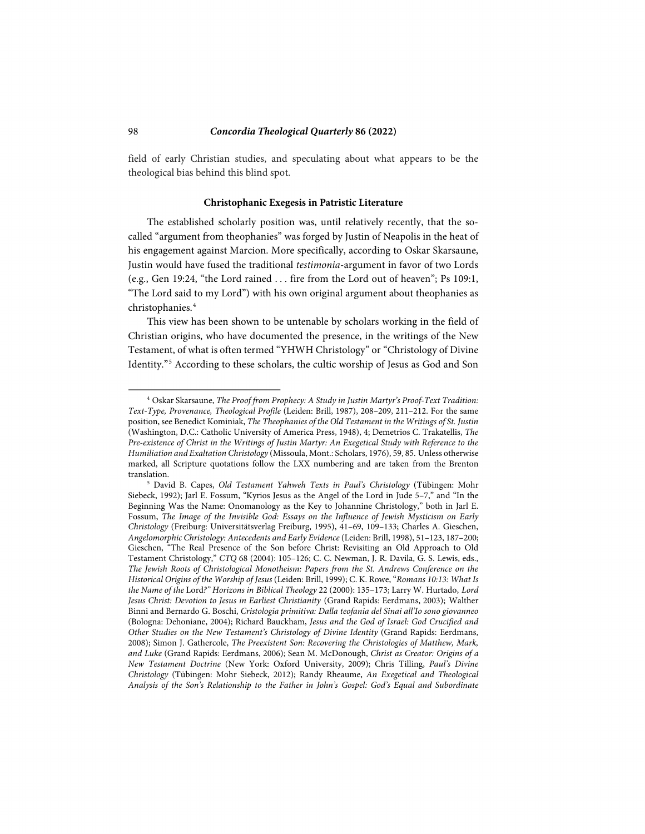field of early Christian studies, and speculating about what appears to be the theological bias behind this blind spot.

#### **Christophanic Exegesis in Patristic Literature**

The established scholarly position was, until relatively recently, that the socalled "argument from theophanies" was forged by Justin of Neapolis in the heat of his engagement against Marcion. More specifically, according to Oskar Skarsaune, Justin would have fused the traditional *testimonia*-argument in favor of two Lords (e.g., Gen 19:24, "the Lord rained . . . fire from the Lord out of heaven"; Ps 109:1, "The Lord said to my Lord") with his own original argument about theophanies as christophanies.[4](#page-1-0)

This view has been shown to be untenable by scholars working in the field of Christian origins, who have documented the presence, in the writings of the New Testament, of what is often termed "YHWH Christology" or "Christology of Divine Identity."[5](#page-1-1) According to these scholars, the cultic worship of Jesus as God and Son

<span id="page-1-0"></span><sup>4</sup> Oskar Skarsaune, *The Proof from Prophecy: A Study in Justin Martyr's Proof-Text Tradition: Text-Type, Provenance, Theological Profile* (Leiden: Brill, 1987), 208–209, 211–212. For the same position, see Benedict Kominiak, *The Theophanies of the Old Testament in the Writings of St. Justin* (Washington, D.C.: Catholic University of America Press, 1948), 4; Demetrios C. Trakatellis, *The Pre-existence of Christ in the Writings of Justin Martyr: An Exegetical Study with Reference to the Humiliation and Exaltation Christology* (Missoula, Mont.: Scholars, 1976), 59, 85. Unless otherwise marked, all Scripture quotations follow the LXX numbering and are taken from the Brenton

<span id="page-1-1"></span><sup>&</sup>lt;sup>5</sup> David B. Capes, *Old Testament Yahweh Texts in Paul's Christology* (Tübingen: Mohr Siebeck, 1992); Jarl E. Fossum, "Kyrios Jesus as the Angel of the Lord in Jude 5–7," and "In the Beginning Was the Name: Onomanology as the Key to Johannine Christology," both in Jarl E. Fossum, *The Image of the Invisible God: Essays on the Influence of Jewish Mysticism on Early Christology* (Freiburg: Universitätsverlag Freiburg, 1995), 41–69, 109–133; Charles A. Gieschen, *Angelomorphic Christology: Antecedents and Early Evidence* (Leiden: Brill, 1998), 51–123, 187–200; Gieschen, "The Real Presence of the Son before Christ: Revisiting an Old Approach to Old Testament Christology," *CTQ* 68 (2004): 105–126; C. C. Newman, J. R. Davila, G. S. Lewis, eds., *The Jewish Roots of Christological Monotheism: Papers from the St. Andrews Conference on the Historical Origins of the Worship of Jesus* (Leiden: Brill, 1999); C. K. Rowe, "*Romans 10:13: What Is the Name of the* Lord*?" Horizons in Biblical Theology* 22 (2000): 135–173; Larry W. Hurtado, *Lord Jesus Christ: Devotion to Jesus in Earliest Christianity* (Grand Rapids: Eerdmans, 2003); Walther Binni and Bernardo G. Boschi, *Cristologia primitiva: Dalla teofania del Sinai all'Io sono giovanneo*  (Bologna: Dehoniane, 2004); Richard Bauckham, *Jesus and the God of Israel: God Crucified and Other Studies on the New Testament's Christology of Divine Identity* (Grand Rapids: Eerdmans, 2008); Simon J. Gathercole, *The Preexistent Son: Recovering the Christologies of Matthew, Mark, and Luke* (Grand Rapids: Eerdmans, 2006); Sean M. McDonough, *Christ as Creator: Origins of a New Testament Doctrine* (New York: Oxford University, 2009); Chris Tilling, *Paul's Divine Christology* (Tübingen: Mohr Siebeck, 2012); Randy Rheaume, *An Exegetical and Theological Analysis of the Son's Relationship to the Father in John's Gospel: God's Equal and Subordinate*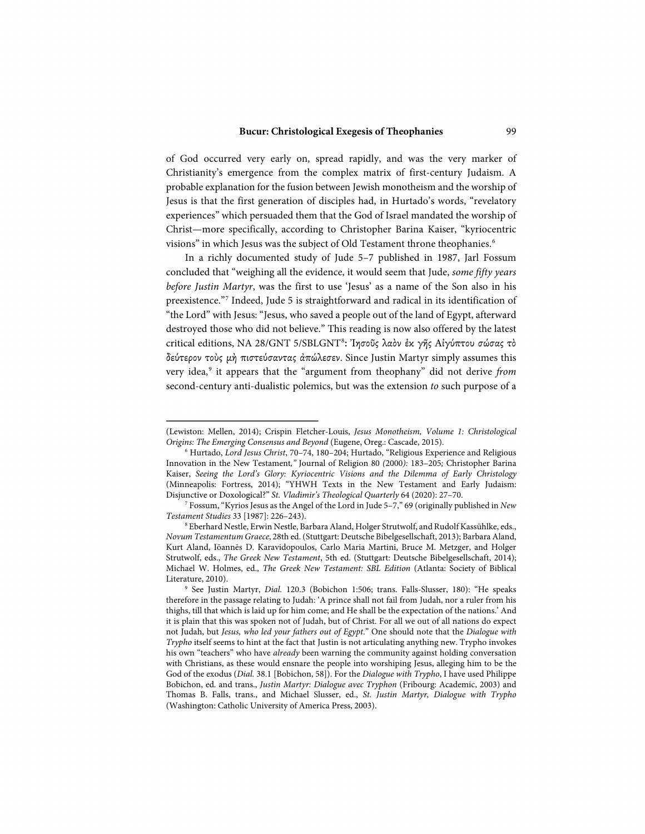of God occurred very early on, spread rapidly, and was the very marker of Christianity's emergence from the complex matrix of first-century Judaism. A probable explanation for the fusion between Jewish monotheism and the worship of Jesus is that the first generation of disciples had, in Hurtado's words, "revelatory experiences" which persuaded them that the God of Israel mandated the worship of Christ—more specifically, according to Christopher Barina Kaiser, "kyriocentric visions" in which Jesus was the subject of Old Testament throne theophanies.<sup>[6](#page-2-0)</sup>

In a richly documented study of Jude 5–7 published in 1987, Jarl Fossum concluded that "weighing all the evidence, it would seem that Jude, *some fifty years before Justin Martyr*, was the first to use 'Jesus' as a name of the Son also in his preexistence."[7](#page-2-1) Indeed, Jude 5 is straightforward and radical in its identification of "the Lord" with Jesus: "Jesus, who saved a people out of the land of Egypt, afterward destroyed those who did not believe." This reading is now also offered by the latest critical editions, NA 2[8](#page-2-2)/GNT 5/SBLGNT<sup>8</sup>: Ἰησοῦς λαὸν ἐκ γῆς Αἰγύπτου σώσας τὸ δεύτερον τοὺς μὴ πιστεύσαντας ἀπώλεσεν. Since Justin Martyr simply assumes this very idea,[9](#page-2-3) it appears that the "argument from theophany" did not derive *from* second-century anti-dualistic polemics, but was the extension *to* such purpose of a

<sup>(</sup>Lewiston: Mellen, 2014); Crispin Fletcher-Louis, *Jesus Monotheism, Volume 1: Christological Origins: The Emerging Consensus and Beyond* (Eugene, Oreg.: Cascade, 2015).

<span id="page-2-0"></span><sup>6</sup> Hurtado, *Lord Jesus Christ*, 70–74, 180–204; Hurtado, "Religious Experience and Religious Innovation in the New Testament*,"* Journal of Religion 80 *(*2000*):* 183–205*;* Christopher Barina Kaiser, *Seeing the Lord's Glory: Kyriocentric Visions and the Dilemma of Early Christology* (Minneapolis: Fortress, 2014); "YHWH Texts in the New Testament and Early Judaism: Disjunctive or Doxological?" *St. Vladimir's Theological Quarterly* 64 (2020): 27–70.

<span id="page-2-1"></span><sup>7</sup> Fossum, "Kyrios Jesus as the Angel of the Lord in Jude 5–7," 69 (originally published in *New Testament Studies* 33 [1987]: 226–243).

<span id="page-2-2"></span><sup>8</sup> Eberhard Nestle, Erwin Nestle, Barbara Aland, Holger Strutwolf, and Rudolf Kassühlke, eds., *Novum Testamentum Graece*, 28th ed. (Stuttgart: Deutsche Bibelgesellschaft, 2013); Barbara Aland, Kurt Aland, Iōannēs D. Karavidopoulos, Carlo Maria Martini, Bruce M. Metzger, and Holger Strutwolf, eds., *The Greek New Testament*, 5th ed. (Stuttgart: Deutsche Bibelgesellschaft, 2014); Michael W. Holmes, ed., *The Greek New Testament: SBL Edition* (Atlanta: Society of Biblical Literature, 2010). 9 See Justin Martyr, *Dial.* 120.3 (Bobichon 1:506; trans. Falls-Slusser, 180): "He speaks

<span id="page-2-3"></span>therefore in the passage relating to Judah: 'A prince shall not fail from Judah, nor a ruler from his thighs, till that which is laid up for him come; and He shall be the expectation of the nations.' And it is plain that this was spoken not of Judah, but of Christ. For all we out of all nations do expect not Judah, but *Jesus, who led your fathers out of Egypt*." One should note that the *Dialogue with Trypho* itself seems to hint at the fact that Justin is not articulating anything new. Trypho invokes his own "teachers" who have *already* been warning the community against holding conversation with Christians, as these would ensnare the people into worshiping Jesus, alleging him to be the God of the exodus (*Dial.* 38.1 [Bobichon, 58]). For the *Dialogue with Trypho*, I have used Philippe Bobichon, ed. and trans., *Justin Martyr: Dialogue avec Tryphon* (Fribourg: Academic, 2003) and Thomas B. Falls, trans., and Michael Slusser, ed., *St. Justin Martyr, Dialogue with Trypho* (Washington: Catholic University of America Press, 2003).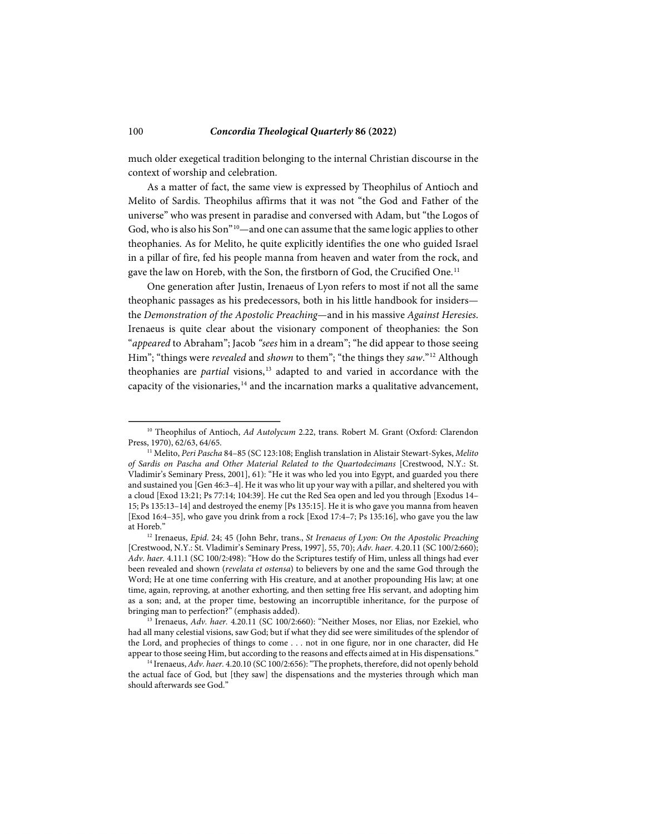much older exegetical tradition belonging to the internal Christian discourse in the context of worship and celebration.

As a matter of fact, the same view is expressed by Theophilus of Antioch and Melito of Sardis. Theophilus affirms that it was not "the God and Father of the universe" who was present in paradise and conversed with Adam, but "the Logos of God, who is also his Son"<sup>[10](#page-3-0)</sup>—and one can assume that the same logic applies to other theophanies. As for Melito, he quite explicitly identifies the one who guided Israel in a pillar of fire, fed his people manna from heaven and water from the rock, and gave the law on Horeb, with the Son, the firstborn of God, the Crucified One.<sup>[11](#page-3-1)</sup>

One generation after Justin, Irenaeus of Lyon refers to most if not all the same theophanic passages as his predecessors, both in his little handbook for insiders the *Demonstration of the Apostolic Preaching*—and in his massive *Against Heresies*. Irenaeus is quite clear about the visionary component of theophanies: the Son "*appeared* to Abraham"; Jacob *"sees* him in a dream"; "he did appear to those seeing Him"; "things were *revealed* and *shown* to them"; "the things they *saw*."[12](#page-3-2) Although theophanies are *partial* visions,<sup>[13](#page-3-3)</sup> adapted to and varied in accordance with the capacity of the visionaries,  $14$  and the incarnation marks a qualitative advancement,

<span id="page-3-0"></span><sup>&</sup>lt;sup>10</sup> Theophilus of Antioch, *Ad Autolycum* 2.22, trans. Robert M. Grant (Oxford: Clarendon Press, 1970), 62/63, 64/65.

<span id="page-3-1"></span><sup>11</sup> Melito, *Peri Pascha* 84–85 (SC 123:108; English translation in Alistair Stewart-Sykes, *Melito of Sardis on Pascha and Other Material Related to the Quartodecimans* [Crestwood, N.Y.: St. Vladimir's Seminary Press, 2001], 61): "He it was who led you into Egypt, and guarded you there and sustained you [Gen 46:3–4]. He it was who lit up your way with a pillar, and sheltered you with a cloud [Exod 13:21; Ps 77:14; 104:39]. He cut the Red Sea open and led you through [Exodus 14– 15; Ps 135:13–14] and destroyed the enemy [Ps 135:15]. He it is who gave you manna from heaven [Exod 16:4–35], who gave you drink from a rock [Exod 17:4–7; Ps 135:16], who gave you the law at Horeb." 12 Irenaeus, *Epid*. 24; 45 (John Behr, trans., *St Irenaeus of Lyon: On the Apostolic Preaching* 

<span id="page-3-2"></span><sup>[</sup>Crestwood, N.Y.: St. Vladimir's Seminary Press, 1997], 55, 70); *Adv. haer.* 4.20.11 (SC 100/2:660); *Adv. haer.* 4.11.1 (SC 100/2:498): "How do the Scriptures testify of Him, unless all things had ever been revealed and shown (*revelata et ostensa*) to believers by one and the same God through the Word; He at one time conferring with His creature, and at another propounding His law; at one time, again, reproving, at another exhorting, and then setting free His servant, and adopting him as a son; and, at the proper time, bestowing an incorruptible inheritance, for the purpose of bringing man to perfection?" (emphasis added).<br><sup>13</sup> Irenaeus, *Adv. haer.* 4.20.11 (SC 100/2:660): "Neither Moses, nor Elias, nor Ezekiel, who

<span id="page-3-3"></span>had all many celestial visions, saw God; but if what they did see were similitudes of the splendor of the Lord, and prophecies of things to come . . . not in one figure, nor in one character, did He appear to those seeing Him, but according to the reasons and effects aimed at in His dispensations." 14 Irenaeus, *Adv. haer.* 4.20.10 (SC 100/2:656): "The prophets, therefore, did not openly behold

<span id="page-3-4"></span>the actual face of God, but [they saw] the dispensations and the mysteries through which man should afterwards see God."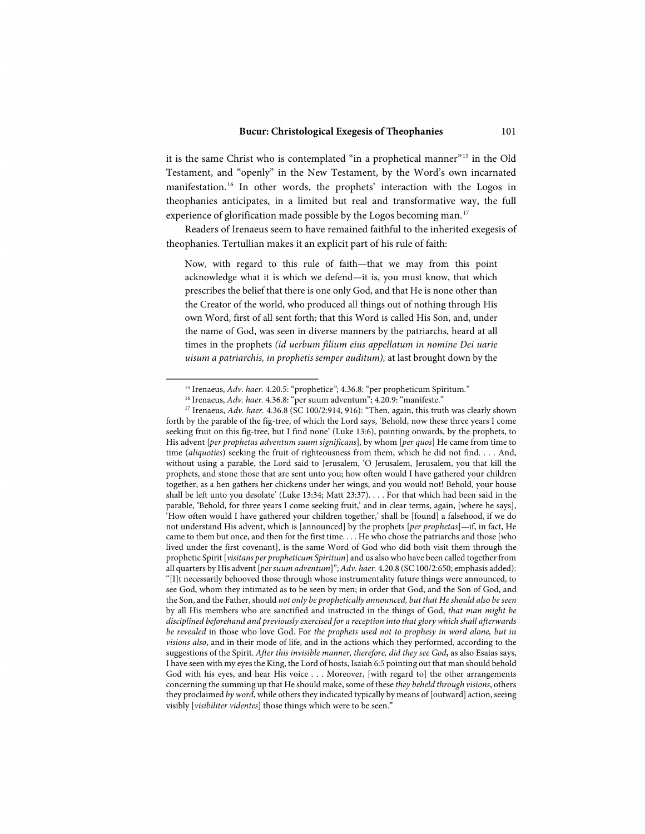it is the same Christ who is contemplated "in a prophetical manner"[15](#page-4-0) in the Old Testament, and "openly" in the New Testament, by the Word's own incarnated manifestation. [16](#page-4-1) In other words, the prophets' interaction with the Logos in theophanies anticipates, in a limited but real and transformative way, the full experience of glorification made possible by the Logos becoming man.<sup>[17](#page-4-2)</sup>

Readers of Irenaeus seem to have remained faithful to the inherited exegesis of theophanies. Tertullian makes it an explicit part of his rule of faith:

Now, with regard to this rule of faith—that we may from this point acknowledge what it is which we defend—it is, you must know, that which prescribes the belief that there is one only God, and that He is none other than the Creator of the world, who produced all things out of nothing through His own Word, first of all sent forth; that this Word is called His Son, and, under the name of God, was seen in diverse manners by the patriarchs, heard at all times in the prophets *(id uerbum filium eius appellatum in nomine Dei uarie uisum a patriarchis, in prophetis semper auditum),* at last brought down by the

<span id="page-4-2"></span><span id="page-4-1"></span><span id="page-4-0"></span><sup>&</sup>lt;sup>15</sup> Irenaeus, Adv. haer. 4.20.5: "prophetice"; 4.36.8: "per propheticum Spiritum."<br><sup>16</sup> Irenaeus, Adv. haer. 4.36.8: "per suum adventum"; 4.20.9: "manifeste."<br><sup>17</sup> Irenaeus, Adv. haer. 4.36.8 (SC 100/2:914, 916): "Then, forth by the parable of the fig-tree, of which the Lord says, 'Behold, now these three years I come seeking fruit on this fig-tree, but I find none' (Luke 13:6), pointing onwards, by the prophets, to His advent [*per prophetas adventum suum significans*], by whom [*per quos*] He came from time to time (*aliquoties*) seeking the fruit of righteousness from them, which he did not find. . . . And, without using a parable, the Lord said to Jerusalem, 'O Jerusalem, Jerusalem, you that kill the prophets, and stone those that are sent unto you; how often would I have gathered your children together, as a hen gathers her chickens under her wings, and you would not! Behold, your house shall be left unto you desolate' (Luke 13:34; Matt 23:37). . . . For that which had been said in the parable, 'Behold, for three years I come seeking fruit,' and in clear terms, again, [where he says], 'How often would I have gathered your children together,' shall be [found] a falsehood, if we do not understand His advent, which is [announced] by the prophets [*per prophetas*]—if, in fact, He came to them but once, and then for the first time. . . . He who chose the patriarchs and those [who lived under the first covenant], is the same Word of God who did both visit them through the prophetic Spirit [*visitans per propheticum Spiritum*] and us also who have been called together from all quarters by His advent [*per suum adventum*]"; *Adv. haer.* 4.20.8 (SC 100/2:650; emphasis added): "[I]t necessarily behooved those through whose instrumentality future things were announced, to see God, whom they intimated as to be seen by men; in order that God, and the Son of God, and the Son, and the Father, should *not only be prophetically announced, but that He should also be seen*  by all His members who are sanctified and instructed in the things of God, *that man might be disciplined beforehand and previously exercised for a reception into that glory which shall afterwards be revealed* in those who love God. For *the prophets used not to prophesy in word alone, but in visions also*, and in their mode of life, and in the actions which they performed, according to the suggestions of the Spirit. *After this invisible manner, therefore, did they see God***,** as also Esaias says, I have seen with my eyes the King, the Lord of hosts, Isaiah 6:5 pointing out that man should behold God with his eyes, and hear His voice . . . Moreover, [with regard to] the other arrangements concerning the summing up that He should make, some of these *they beheld through visions*, others they proclaimed *by word*, while others they indicated typically by means of [outward] action, seeing visibly [*visibiliter videntes*] those things which were to be seen."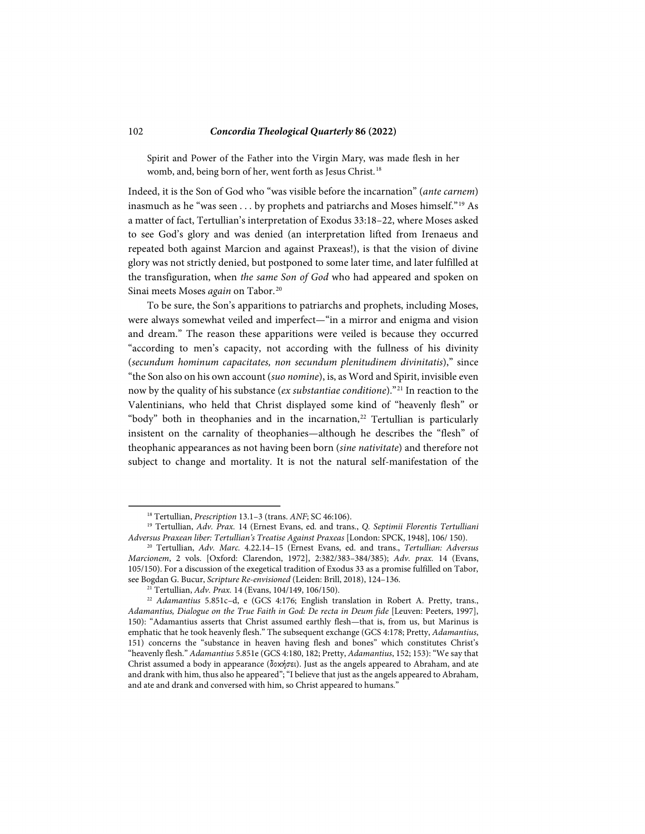Spirit and Power of the Father into the Virgin Mary, was made flesh in her womb, and, being born of her, went forth as Jesus Christ. [18](#page-5-0)

Indeed, it is the Son of God who "was visible before the incarnation" (*ante carnem*) inasmuch as he "was seen . . . by prophets and patriarchs and Moses himself."[19](#page-5-1) As a matter of fact, Tertullian's interpretation of Exodus 33:18–22, where Moses asked to see God's glory and was denied (an interpretation lifted from Irenaeus and repeated both against Marcion and against Praxeas!), is that the vision of divine glory was not strictly denied, but postponed to some later time, and later fulfilled at the transfiguration, when *the same Son of God* who had appeared and spoken on Sinai meets Moses *again* on Tabor.<sup>20</sup>

To be sure, the Son's apparitions to patriarchs and prophets, including Moses, were always somewhat veiled and imperfect—"in a mirror and enigma and vision and dream." The reason these apparitions were veiled is because they occurred "according to men's capacity, not according with the fullness of his divinity (*secundum hominum capacitates, non secundum plenitudinem divinitatis*)," since "the Son also on his own account (*suo nomine*), is, as Word and Spirit, invisible even now by the quality of his substance (*ex substantiae conditione*)."[21](#page-5-3) In reaction to the Valentinians, who held that Christ displayed some kind of "heavenly flesh" or "body" both in theophanies and in the incarnation, $22$  Tertullian is particularly insistent on the carnality of theophanies—although he describes the "flesh" of theophanic appearances as not having been born (*sine nativitate*) and therefore not subject to change and mortality. It is not the natural self-manifestation of the

<span id="page-5-1"></span><span id="page-5-0"></span><sup>18</sup> Tertullian, *Prescription* 13.1–3 (trans. *ANF*; SC 46:106). 19 Tertullian, *Adv. Prax.* 14 (Ernest Evans, ed. and trans., *Q. Septimii Florentis Tertulliani Adversus Praxean liber: Tertullian's Treatise Against Praxeas* [London: SPCK, 1948], 106/ 150).

<span id="page-5-2"></span><sup>20</sup> Tertullian, *Adv. Marc.* 4.22.14–15 (Ernest Evans, ed. and trans., *Tertullian: Adversus Marcionem*, 2 vols. [Oxford: Clarendon, 1972], 2:382/383–384/385); *Adv. prax.* 14 (Evans, 105/150). For a discussion of the exegetical tradition of Exodus 33 as a promise fulfilled on Tabor, see Bogdan G. Bucur, *Scripture Re-envisioned* (Leiden: Brill, 2018), 124–136.

<sup>21</sup> Tertullian, *Adv. Prax.* 14 (Evans, 104/149, 106/150).

<span id="page-5-4"></span><span id="page-5-3"></span><sup>22</sup> *Adamantius* 5.851c–d, e (GCS 4:176; English translation in Robert A. Pretty, trans., *Adamantius, Dialogue on the True Faith in God: De recta in Deum fide* [Leuven: Peeters, 1997], 150): "Adamantius asserts that Christ assumed earthly flesh—that is, from us, but Marinus is emphatic that he took heavenly flesh." The subsequent exchange (GCS 4:178; Pretty, *Adamantius*, 151) concerns the "substance in heaven having flesh and bones" which constitutes Christ's "heavenly flesh." *Adamantius* 5.851e (GCS 4:180, 182; Pretty, *Adamantius*, 152; 153): "We say that Christ assumed a body in appearance (δοκήσει). Just as the angels appeared to Abraham, and ate and drank with him, thus also he appeared"; "I believe that just as the angels appeared to Abraham, and ate and drank and conversed with him, so Christ appeared to humans."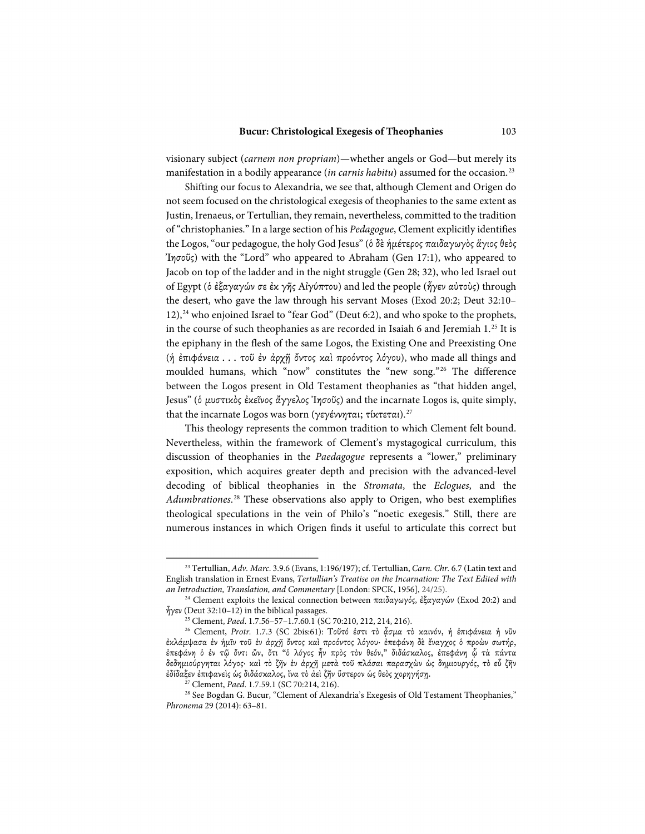visionary subject (*carnem non propriam*)—whether angels or God—but merely its manifestation in a bodily appearance (*in carnis habitu*) assumed for the occasion.<sup>[23](#page-6-0)</sup>

Shifting our focus to Alexandria, we see that, although Clement and Origen do not seem focused on the christological exegesis of theophanies to the same extent as Justin, Irenaeus, or Tertullian, they remain, nevertheless, committed to the tradition of "christophanies." In a large section of his *Pedagogue*, Clement explicitly identifies the Logos, "our pedagogue, the holy God Jesus" (ὁ δὲ ἡμέτερος παιδαγωγὸς ἅγιος θεὸς Ἰησοῦς) with the "Lord" who appeared to Abraham (Gen 17:1), who appeared to Jacob on top of the ladder and in the night struggle (Gen 28; 32), who led Israel out of Egypt (ὁ ἐξαγαγών σε ἐκ γῆς Αἰγύπτου) and led the people (ἦγεν αὐτοὺς) through the desert, who gave the law through his servant Moses (Exod 20:2; Deut 32:10– 12),<sup>[24](#page-6-1)</sup> who enjoined Israel to "fear God" (Deut 6:2), and who spoke to the prophets, in the course of such theophanies as are recorded in Isaiah 6 and Jeremiah 1.<sup>[25](#page-6-2)</sup> It is the epiphany in the flesh of the same Logos, the Existing One and Preexisting One (ἡ ἐπιφάνεια . . . τοῦ ἐν ἀρχῇ ὄντος καὶ προόντος λόγου), who made all things and moulded humans, which "now" constitutes the "new song."[26](#page-6-3) The difference between the Logos present in Old Testament theophanies as "that hidden angel, Jesus" (ὁ μυστικὸς ἐκεῖνος ἄγγελος Ἰησοῦς) and the incarnate Logos is, quite simply, that the incarnate Logos was born (γεγέννηται; τίκτεται).<sup>27</sup>

This theology represents the common tradition to which Clement felt bound. Nevertheless, within the framework of Clement's mystagogical curriculum, this discussion of theophanies in the *Paedagogue* represents a "lower," preliminary exposition, which acquires greater depth and precision with the advanced-level decoding of biblical theophanies in the *Stromata*, the *Eclogues*, and the *Adumbrationes*. [28](#page-6-5) These observations also apply to Origen, who best exemplifies theological speculations in the vein of Philo's "noetic exegesis." Still, there are numerous instances in which Origen finds it useful to articulate this correct but

<span id="page-6-0"></span><sup>23</sup> Tertullian, *Adv. Marc*. 3.9.6 (Evans, 1:196/197); cf. Tertullian, *Carn. Chr.* 6.7 (Latin text and English translation in Ernest Evans, *Tertullian's Treatise on the Incarnation: The Text Edited with* 

<span id="page-6-1"></span><sup>&</sup>lt;sup>24</sup> Clement exploits the lexical connection between παιδαγωγός, ἐξαγαγών (Exod 20:2) and  $\frac{3}{2}$ γεν (Deut 32:10–12) in the biblical passages.<br><sup>25</sup> Clement, *Paed.* 1.7.56–57–1.7.60.1 (SC 70:210, 212, 214, 216).

<span id="page-6-3"></span><span id="page-6-2"></span><sup>25</sup> Clement, *Paed*. 1.7.56–57–1.7.60.1 (SC 70:210, 212, 214, 216). 26 Clement, *Protr.* 1.7.3 (SC 2bis:61): Τοῦτό ἐστι τὸ ᾆσμα τὸ καινόν, ἡ ἐπιφάνεια ἡ νῦν ἐκλάμψασα ἐν ἡμῖν τοῦ ἐν ἀρχῇ ὄντος καὶ προόντος λόγου· ἐπεφάνη δὲ ἔναγχος ὁ προὼν σωτήρ, ἐπεφάνη ὁ ἐν τῷ ὄντι ὤν, ὅτι "ὁ λόγος ἦν πρὸς τὸν θεόν," διδάσκαλος, ἐπεφάνη ᾧ τὰ πάντα δεδημιούργηται λόγος· καὶ τὸ ζῆν ἐν ἀρχῇ μετὰ τοῦ πλάσαι παρασχὼν ὡς δημιουργός, τὸ εὖ ζῆν ἐδίδαξεν ἐπιφανεὶς ὡς διδάσκαλος, ἵνα τὸ ἀεὶ ζῆν ὕστερον ὡς θεὸς χορηγήσῃ.

<sup>27</sup> Clement, *Paed*. 1.7.59.1 (SC 70:214, 216).

<span id="page-6-5"></span><span id="page-6-4"></span><sup>&</sup>lt;sup>28</sup> See Bogdan G. Bucur, "Clement of Alexandria's Exegesis of Old Testament Theophanies," *Phronema* 29 (2014): 63–81.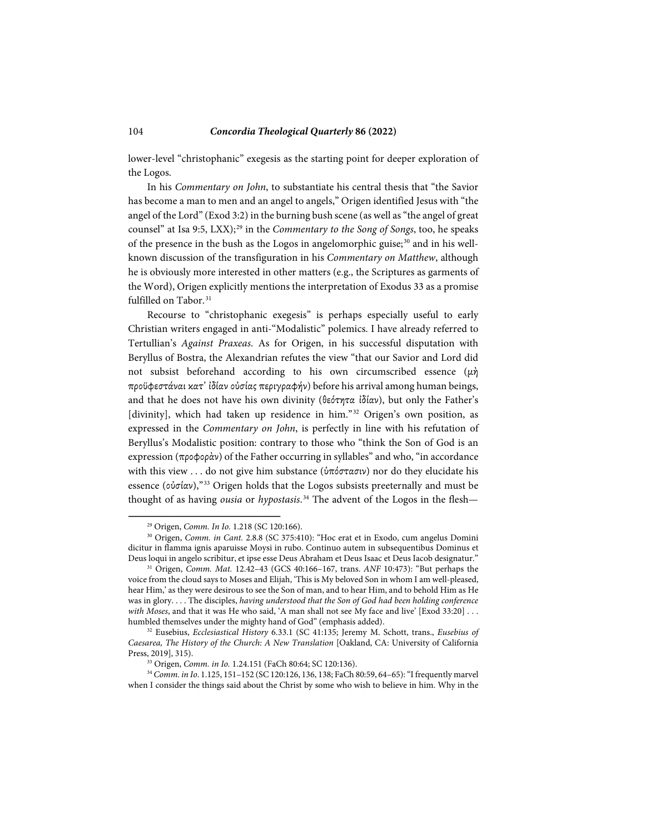lower-level "christophanic" exegesis as the starting point for deeper exploration of the Logos.

In his *Commentary on John*, to substantiate his central thesis that "the Savior has become a man to men and an angel to angels," Origen identified Jesus with "the angel of the Lord" (Exod 3:2) in the burning bush scene (as well as "the angel of great counsel" at Isa 9:5, LXX);<sup>[29](#page-7-0)</sup> in the *Commentary to the Song of Songs*, too, he speaks of the presence in the bush as the Logos in angelomorphic guise;<sup>[30](#page-7-1)</sup> and in his wellknown discussion of the transfiguration in his *Commentary on Matthew*, although he is obviously more interested in other matters (e.g., the Scriptures as garments of the Word), Origen explicitly mentions the interpretation of Exodus 33 as a promise fulfilled on Tabor.<sup>31</sup>

Recourse to "christophanic exegesis" is perhaps especially useful to early Christian writers engaged in anti-"Modalistic" polemics. I have already referred to Tertullian's *Against Praxeas*. As for Origen, in his successful disputation with Beryllus of Bostra, the Alexandrian refutes the view "that our Savior and Lord did not subsist beforehand according to his own circumscribed essence  $(\mu \dot{\eta})$ προϋφεστάναι κατ' ίδίαν οὐσίας περιγραφήν) before his arrival among human beings, and that he does not have his own divinity (θεότητα ἰδίαν), but only the Father's [divinity], which had taken up residence in him."<sup>[32](#page-7-3)</sup> Origen's own position, as expressed in the *Commentary on John*, is perfectly in line with his refutation of Beryllus's Modalistic position: contrary to those who "think the Son of God is an expression (προφορὰν) of the Father occurring in syllables" and who, "in accordance with this view . . . do not give him substance (ὑπόστασιν) nor do they elucidate his essence (οὐσίαν),"[33](#page-7-4) Origen holds that the Logos subsists preeternally and must be thought of as having *ousia* or *hypostasis*. [34](#page-7-5) The advent of the Logos in the flesh—

<sup>29</sup> Origen, *Comm. In Io.* 1.218 (SC 120:166).

<span id="page-7-1"></span><span id="page-7-0"></span><sup>30</sup> Origen, *Comm. in Cant.* 2.8.8 (SC 375:410): "Hoc erat et in Exodo, cum angelus Domini dicitur in flamma ignis aparuisse Moysi in rubo. Continuo autem in subsequentibus Dominus et Deus loqui in angelo scribitur, et ipse esse Deus Abraham et Deus Isaac et Deus Iacob designatur." 31 Origen, *Comm. Mat.* 12.42–43 (GCS 40:166–167, trans. *ANF* 10:473): "But perhaps the

<span id="page-7-2"></span>voice from the cloud says to Moses and Elijah, 'This is My beloved Son in whom I am well-pleased, hear Him,' as they were desirous to see the Son of man, and to hear Him, and to behold Him as He was in glory. . . . The disciples, *having understood that the Son of God had been holding conference with Moses*, and that it was He who said, 'A man shall not see My face and live' [Exod 33:20] . . . humbled themselves under the mighty hand of God" (emphasis added).

<span id="page-7-3"></span><sup>32</sup> Eusebius, *Ecclesiastical History* 6.33.1 (SC 41:135; Jeremy M. Schott, trans., *Eusebius of Caesarea, The History of the Church: A New Translation* [Oakland, CA: University of California Press, 2019], 315).

<sup>33</sup> Origen, *Comm. in Io.* 1.24.151 (FaCh 80:64; SC 120:136).

<span id="page-7-5"></span><span id="page-7-4"></span><sup>34</sup> *Comm. in Io*. 1.125, 151–152 (SC 120:126, 136, 138; FaCh 80:59, 64–65): "I frequently marvel when I consider the things said about the Christ by some who wish to believe in him. Why in the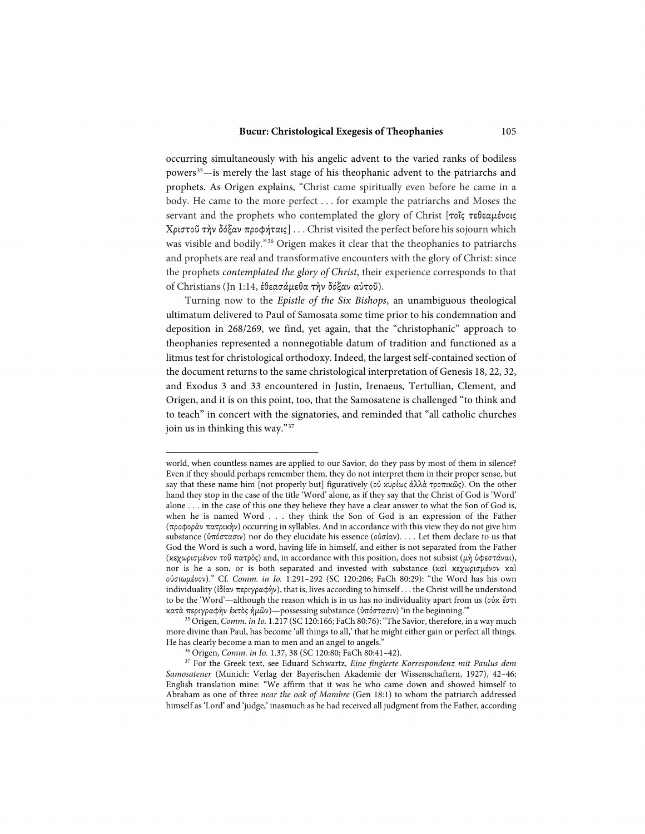occurring simultaneously with his angelic advent to the varied ranks of bodiless powers<sup>35</sup>—is merely the last stage of his theophanic advent to the patriarchs and prophets. As Origen explains, "Christ came spiritually even before he came in a body. He came to the more perfect . . . for example the patriarchs and Moses the servant and the prophets who contemplated the glory of Christ [τοῖς τεθεαμένοις Χριστοῦ τὴν δόξαν προφήταις] . . . Christ visited the perfect before his sojourn which was visible and bodily."[36](#page-8-1) Origen makes it clear that the theophanies to patriarchs and prophets are real and transformative encounters with the glory of Christ: since the prophets *contemplated the glory of Christ*, their experience corresponds to that of Christians (Jn 1:14, ἐθεασάμεθα τὴν δόξαν αὐτοῦ).

Turning now to the *Epistle of the Six Bishops*, an unambiguous theological ultimatum delivered to Paul of Samosata some time prior to his condemnation and deposition in 268/269, we find, yet again, that the "christophanic" approach to theophanies represented a nonnegotiable datum of tradition and functioned as a litmus test for christological orthodoxy. Indeed, the largest self-contained section of the document returns to the same christological interpretation of Genesis 18, 22, 32, and Exodus 3 and 33 encountered in Justin, Irenaeus, Tertullian, Clement, and Origen, and it is on this point, too, that the Samosatene is challenged "to think and to teach" in concert with the signatories, and reminded that "all catholic churches join us in thinking this way."[37](#page-8-2)

world, when countless names are applied to our Savior, do they pass by most of them in silence? Even if they should perhaps remember them, they do not interpret them in their proper sense, but say that these name him [not properly but] figuratively (οὐ κυρίως ἀλλὰ τροπικῶς). On the other hand they stop in the case of the title 'Word' alone, as if they say that the Christ of God is 'Word' alone . . . in the case of this one they believe they have a clear answer to what the Son of God is, when he is named Word . . . they think the Son of God is an expression of the Father (προφορὰν πατρικὴν) occurring in syllables. And in accordance with this view they do not give him substance (ὑπόστασιν) nor do they elucidate his essence (οὐσίαν). . . . Let them declare to us that God the Word is such a word, having life in himself, and either is not separated from the Father (κεχωρισμένον τοῦ πατρὸς) and, in accordance with this position, does not subsist (μὴ ὑφεστάναι), nor is he a son, or is both separated and invested with substance (καὶ κεχωρισμένον καὶ οὐσιωμένον)." Cf. *Comm. in Io.* 1.291–292 (SC 120:206; FaCh 80:29): "the Word has his own individuality (ἰδίαν περιγραφὴν), that is, lives according to himself . . . the Christ will be understood to be the 'Word'—although the reason which is in us has no individuality apart from us (οὐκ ἔστι κατὰ περιγραφὴν ἐκτὸς ἡμῶν)—possessing substance (ὑπόστασιν) 'in the beginning.'" 35 Origen, *Comm. in Io.* 1.217 (SC 120:166; FaCh 80:76):"The Savior, therefore, in a way much

<span id="page-8-0"></span>more divine than Paul, has become 'all things to all,' that he might either gain or perfect all things.<br>He has clearly become a man to men and an angel to angels."

<span id="page-8-2"></span><span id="page-8-1"></span><sup>&</sup>lt;sup>36</sup> Origen, *Comm. in Io.* 1.37, 38 (SC 120:80; FaCh 80:41–42). <sup>37</sup> For the Greek text, see Eduard Schwartz, *Eine fingierte Korrespondenz mit Paulus dem Samosatener* (Munich: Verlag der Bayerischen Akademie der Wissenschaftern, 1927), 42–46; English translation mine: "We affirm that it was he who came down and showed himself to Abraham as one of three *near the oak of Mambre* (Gen 18:1) to whom the patriarch addressed himself as 'Lord' and 'judge,' inasmuch as he had received all judgment from the Father, according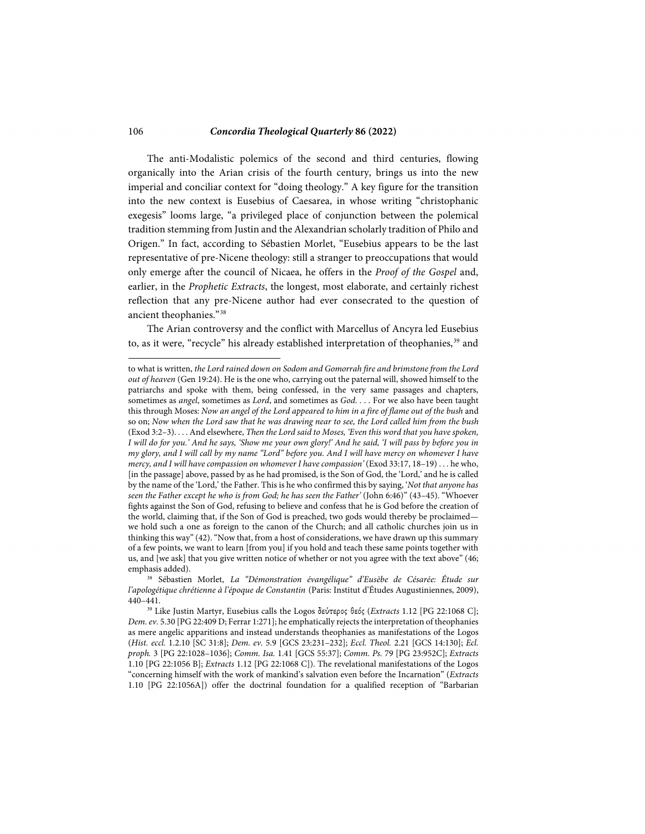The anti-Modalistic polemics of the second and third centuries, flowing organically into the Arian crisis of the fourth century, brings us into the new imperial and conciliar context for "doing theology." A key figure for the transition into the new context is Eusebius of Caesarea, in whose writing "christophanic exegesis" looms large, "a privileged place of conjunction between the polemical tradition stemming from Justin and the Alexandrian scholarly tradition of Philo and Origen." In fact, according to Sébastien Morlet, "Eusebius appears to be the last representative of pre-Nicene theology: still a stranger to preoccupations that would only emerge after the council of Nicaea, he offers in the *Proof of the Gospel* and, earlier, in the *Prophetic Extracts*, the longest, most elaborate, and certainly richest reflection that any pre-Nicene author had ever consecrated to the question of ancient theophanies."[38](#page-9-0) 

The Arian controversy and the conflict with Marcellus of Ancyra led Eusebius to, as it were, "recycle" his already established interpretation of theophanies,<sup>[39](#page-9-1)</sup> and

to what is written, *the Lord rained down on Sodom and Gomorrah fire and brimstone from the Lord out of heaven* (Gen 19:24). He is the one who, carrying out the paternal will, showed himself to the patriarchs and spoke with them, being confessed, in the very same passages and chapters, sometimes as *angel*, sometimes as *Lord*, and sometimes as *God*. . . . For we also have been taught this through Moses: *Now an angel of the Lord appeared to him in a fire of flame out of the bush* and so on; *Now when the Lord saw that he was drawing near to see, the Lord called him from the bush* (Exod 3:2–3). . . . And elsewhere, *Then the Lord said to Moses, 'Even this word that you have spoken, I will do for you.' And he says, 'Show me your own glory!' And he said, 'I will pass by before you in my glory, and I will call by my name "Lord" before you. And I will have mercy on whomever I have mercy, and I will have compassion on whomever I have compassion'* (Exod 33:17, 18–19) . . . he who, [in the passage] above, passed by as he had promised, is the Son of God, the 'Lord,' and he is called by the name of the 'Lord,' the Father. This is he who confirmed this by saying, '*Not that anyone has seen the Father except he who is from God; he has seen the Father'* (John 6:46)" (43–45). "Whoever fights against the Son of God, refusing to believe and confess that he is God before the creation of the world, claiming that, if the Son of God is preached, two gods would thereby be proclaimed we hold such a one as foreign to the canon of the Church; and all catholic churches join us in thinking this way" (42). "Now that, from a host of considerations, we have drawn up this summary of a few points, we want to learn [from you] if you hold and teach these same points together with us, and [we ask] that you give written notice of whether or not you agree with the text above" (46; emphasis added). 38 Sébastien Morlet, *La "Démonstration évangélique" d'Eusèbe de Césarée: Étude sur* 

<span id="page-9-0"></span>*l'apologétique chrétienne à l'époque de Constantin* (Paris: Institut d'Études Augustiniennes, 2009), 440–441.

<span id="page-9-1"></span><sup>39</sup> Like Justin Martyr, Eusebius calls the Logos δεύτερος θεός (*Extracts* 1.12 [PG 22:1068 C]; *Dem. ev.* 5.30 [PG 22:409 D; Ferrar 1:271]; he emphatically rejects the interpretation of theophanies as mere angelic apparitions and instead understands theophanies as manifestations of the Logos (*Hist. eccl.* 1.2.10 [SC 31:8]; *Dem. ev.* 5.9 [GCS 23:231–232]; *Eccl. Theol.* 2.21 [GCS 14:130]; *Ecl. proph.* 3 [PG 22:1028–1036]; *Comm. Isa.* 1.41 [GCS 55:37]; *Comm. Ps.* 79 [PG 23:952C]; *Extracts* 1.10 [PG 22:1056 B]; *Extracts* 1.12 [PG 22:1068 C]). The revelational manifestations of the Logos "concerning himself with the work of mankind's salvation even before the Incarnation" (*Extracts* 1.10 [PG 22:1056A]) offer the doctrinal foundation for a qualified reception of "Barbarian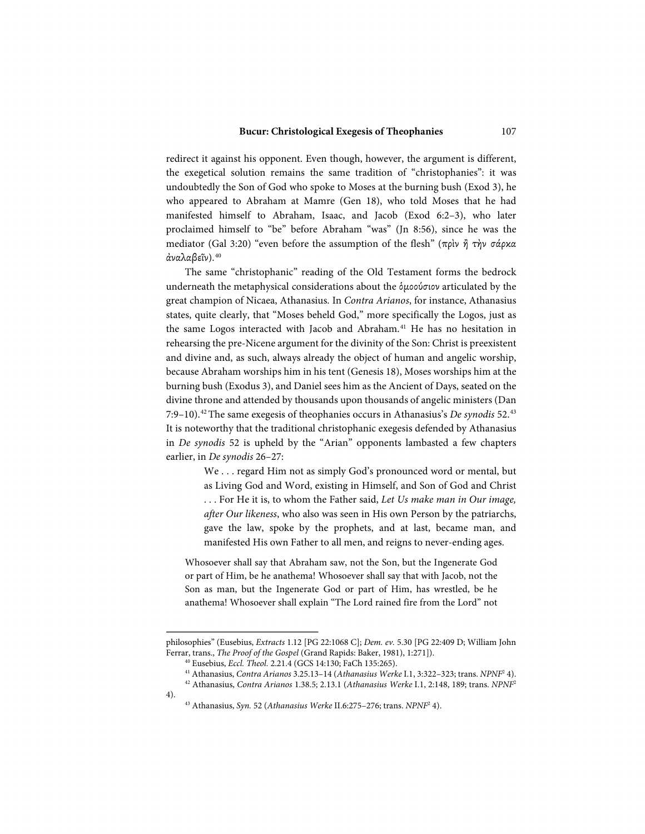redirect it against his opponent. Even though, however, the argument is different, the exegetical solution remains the same tradition of "christophanies": it was undoubtedly the Son of God who spoke to Moses at the burning bush (Exod 3), he who appeared to Abraham at Mamre (Gen 18), who told Moses that he had manifested himself to Abraham, Isaac, and Jacob (Exod 6:2–3), who later proclaimed himself to "be" before Abraham "was" (Jn 8:56), since he was the mediator (Gal 3:20) "even before the assumption of the flesh" (πρὶν ἦ τὴν σάρκα ἀναλαβεῖν).[40](#page-10-0)

The same "christophanic" reading of the Old Testament forms the bedrock underneath the metaphysical considerations about the ὁμοούσιον articulated by the great champion of Nicaea, Athanasius. In *Contra Arianos*, for instance, Athanasius states, quite clearly, that "Moses beheld God," more specifically the Logos, just as the same Logos interacted with Jacob and Abraham.<sup>[41](#page-10-1)</sup> He has no hesitation in rehearsing the pre-Nicene argument for the divinity of the Son: Christ is preexistent and divine and, as such, always already the object of human and angelic worship, because Abraham worships him in his tent (Genesis 18), Moses worships him at the burning bush (Exodus 3), and Daniel sees him as the Ancient of Days, seated on the divine throne and attended by thousands upon thousands of angelic ministers (Dan 7:9–10).[42](#page-10-2)The same exegesis of theophanies occurs in Athanasius's *De synodis* 52.[43](#page-10-3) It is noteworthy that the traditional christophanic exegesis defended by Athanasius in *De synodis* 52 is upheld by the "Arian" opponents lambasted a few chapters earlier, in *De synodis* 26–27:

> We . . . regard Him not as simply God's pronounced word or mental, but as Living God and Word, existing in Himself, and Son of God and Christ . . . For He it is, to whom the Father said, *Let Us make man in Our image, after Our likeness*, who also was seen in His own Person by the patriarchs, gave the law, spoke by the prophets, and at last, became man, and manifested His own Father to all men, and reigns to never-ending ages.

Whosoever shall say that Abraham saw, not the Son, but the Ingenerate God or part of Him, be he anathema! Whosoever shall say that with Jacob, not the Son as man, but the Ingenerate God or part of Him, has wrestled, be he anathema! Whosoever shall explain "The Lord rained fire from the Lord" not

<span id="page-10-0"></span>philosophies" (Eusebius, *Extracts* 1.12 [PG 22:1068 C]; *Dem. ev.* 5.30 [PG 22:409 D; William John Ferrar, trans., *The Proof of the Gospel* (Grand Rapids: Baker, 1981), 1:271]). 40 Eusebius, *Eccl. Theol.* 2.21.4 (GCS 14:130; FaCh 135:265).

<sup>41</sup> Athanasius, *Contra Arianos* 3.25.13–14 (*Athanasius Werke* I.1, 3:322–323; trans. *NPNF*<sup>2</sup> 4).

<sup>42</sup> Athanasius, *Contra Arianos* 1.38.5; 2.13.1 (*Athanasius Werke* I.1, 2:148, 189; trans. *NPNF*<sup>2</sup>

<span id="page-10-3"></span><span id="page-10-2"></span><span id="page-10-1"></span><sup>4).</sup>

<sup>43</sup> Athanasius, *Syn.* 52 (*Athanasius Werke* II.6:275–276; trans. *NPNF*<sup>2</sup> 4).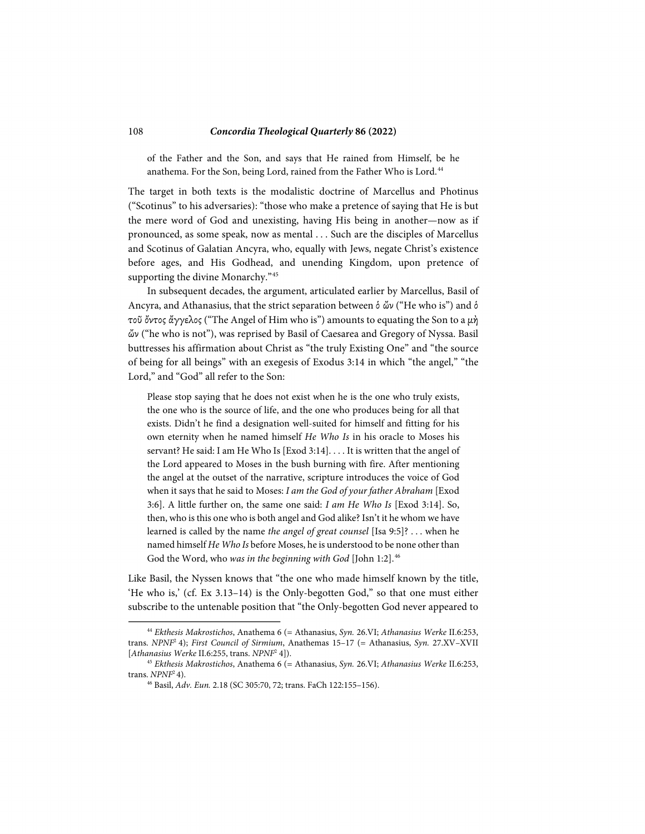of the Father and the Son, and says that He rained from Himself, be he anathema. For the Son, being Lord, rained from the Father Who is Lord.<sup>[44](#page-11-0)</sup>

The target in both texts is the modalistic doctrine of Marcellus and Photinus ("Scotinus" to his adversaries): "those who make a pretence of saying that He is but the mere word of God and unexisting, having His being in another—now as if pronounced, as some speak, now as mental . . . Such are the disciples of Marcellus and Scotinus of Galatian Ancyra, who, equally with Jews, negate Christ's existence before ages, and His Godhead, and unending Kingdom, upon pretence of supporting the divine Monarchy."<sup>[45](#page-11-1)</sup>

In subsequent decades, the argument, articulated earlier by Marcellus, Basil of Ancyra, and Athanasius, that the strict separation between  $\delta \omega$  ("He who is") and  $\delta$ τοῦ ὄντος ἄγγελος ("The Angel of Him who is") amounts to equating the Son to a μὴ ὤν ("he who is not"), was reprised by Basil of Caesarea and Gregory of Nyssa. Basil buttresses his affirmation about Christ as "the truly Existing One" and "the source of being for all beings" with an exegesis of Exodus 3:14 in which "the angel," "the Lord," and "God" all refer to the Son:

Please stop saying that he does not exist when he is the one who truly exists, the one who is the source of life, and the one who produces being for all that exists. Didn't he find a designation well-suited for himself and fitting for his own eternity when he named himself *He Who Is* in his oracle to Moses his servant? He said: I am He Who Is [Exod 3:14]. . . . It is written that the angel of the Lord appeared to Moses in the bush burning with fire. After mentioning the angel at the outset of the narrative, scripture introduces the voice of God when it says that he said to Moses: *I am the God of your father Abraham* [Exod 3:6]. A little further on, the same one said: *I am He Who Is* [Exod 3:14]. So, then, who is this one who is both angel and God alike? Isn't it he whom we have learned is called by the name *the angel of great counsel* [Isa 9:5]? . . . when he named himself *He Who Is* before Moses, he is understood to be none other than God the Word, who *was in the beginning with God* [John 1:2].[46](#page-11-2)

Like Basil, the Nyssen knows that "the one who made himself known by the title, 'He who is,' (cf. Ex 3.13–14) is the Only-begotten God," so that one must either subscribe to the untenable position that "the Only-begotten God never appeared to

 $\overline{a}$ 

<span id="page-11-0"></span><sup>44</sup> *Ekthesis Makrostichos*, Anathema 6 (= Athanasius, *Syn.* 26.VI; *Athanasius Werke* II.6:253, trans. *NPNF*2 4); *First Council of Sirmium*, Anathemas 15–17 (= Athanasius, *Syn.* 27.XV–XVII [*Athanasius Werke* II.6:255, trans. *NPNF*<sup>2</sup> 4]).

<span id="page-11-2"></span><span id="page-11-1"></span><sup>45</sup> *Ekthesis Makrostichos*, Anathema 6 (= Athanasius, *Syn.* 26.VI; *Athanasius Werke* II.6:253, trans. *NPNF*2 4). 46 Basil, *Adv. Eun.* 2.18 (SC 305:70, 72; trans. FaCh 122:155–156).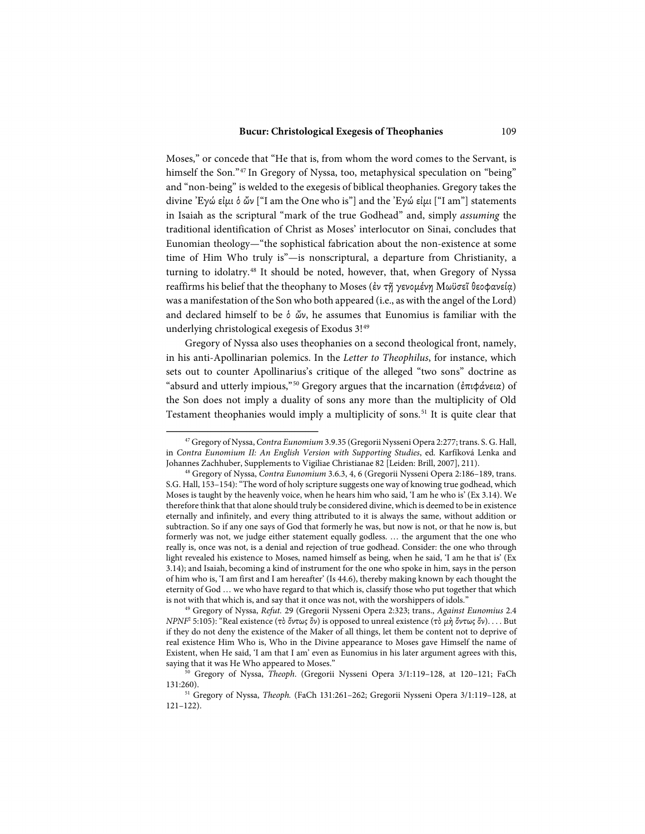Moses," or concede that "He that is, from whom the word comes to the Servant, is himself the Son."<sup>[47](#page-12-0)</sup> In Gregory of Nyssa, too, metaphysical speculation on "being" and "non-being" is welded to the exegesis of biblical theophanies. Gregory takes the divine ᾿Εγώ εἰμι ὁ ὤν ["I am the One who is"] and the ᾿Εγώ εἰμι ["I am"] statements in Isaiah as the scriptural "mark of the true Godhead" and, simply *assuming* the traditional identification of Christ as Moses' interlocutor on Sinai, concludes that Eunomian theology—"the sophistical fabrication about the non-existence at some time of Him Who truly is"—is nonscriptural, a departure from Christianity, a turning to idolatry.[48](#page-12-1) It should be noted, however, that, when Gregory of Nyssa reaffirms his belief that the theophany to Moses (ἐν τῇ γενομένῃ Μωϋσεῖ θεοφανείᾳ) was a manifestation of the Son who both appeared (i.e., as with the angel of the Lord) and declared himself to be ὁ ὤν, he assumes that Eunomius is familiar with the underlying christological exegesis of Exodus 3!<sup>49</sup>

Gregory of Nyssa also uses theophanies on a second theological front, namely, in his anti-Apollinarian polemics. In the *Letter to Theophilus*, for instance, which sets out to counter Apollinarius's critique of the alleged "two sons" doctrine as "absurd and utterly impious,"<sup>[50](#page-12-3)</sup> Gregory argues that the incarnation (ἐπιφάνεια) of the Son does not imply a duality of sons any more than the multiplicity of Old Testament theophanies would imply a multiplicity of sons.<sup>[51](#page-12-4)</sup> It is quite clear that

<span id="page-12-0"></span><sup>47</sup> Gregory of Nyssa, *Contra Eunomium* 3.9.35 (Gregorii Nysseni Opera 2:277; trans. S. G. Hall, in *Contra Eunomium II: An English Version with Supporting Studies*, ed. Karfíková Lenka and Johannes Zachhuber, Supplements to Vigiliae Christianae 82 [Leiden: Brill, 2007], 211).

<span id="page-12-1"></span><sup>48</sup> Gregory of Nyssa, *Contra Eunomium* 3.6.3, 4, 6 (Gregorii Nysseni Opera 2:186–189, trans. S.G. Hall, 153–154): "The word of holy scripture suggests one way of knowing true godhead, which Moses is taught by the heavenly voice, when he hears him who said, 'I am he who is' (Ex 3.14). We therefore think that that alone should truly be considered divine, which is deemed to be in existence eternally and infinitely, and every thing attributed to it is always the same, without addition or subtraction. So if any one says of God that formerly he was, but now is not, or that he now is, but formerly was not, we judge either statement equally godless. … the argument that the one who really is, once was not, is a denial and rejection of true godhead. Consider: the one who through light revealed his existence to Moses, named himself as being, when he said, 'I am he that is' (Ex 3.14); and Isaiah, becoming a kind of instrument for the one who spoke in him, says in the person of him who is, 'I am first and I am hereafter' (Is 44.6), thereby making known by each thought the eternity of God … we who have regard to that which is, classify those who put together that which is not with that which is, and say that it once was not, with the worshippers of idols." 49 Gregory of Nyssa, *Refut.* 29 (Gregorii Nysseni Opera 2:323; trans., *Against Eunomius* 2.4

<span id="page-12-2"></span>*NPNF*<sup>2</sup> 5:105): "Real existence (τὸ ὄντως ὂν) is opposed to unreal existence (τὸ μὴ ὄντως ὄν). . . . But if they do not deny the existence of the Maker of all things, let them be content not to deprive of real existence Him Who is, Who in the Divine appearance to Moses gave Himself the name of Existent, when He said, 'I am that I am' even as Eunomius in his later argument agrees with this,

<span id="page-12-3"></span>saying that it was He Who appeared to Moses." 50 Gregory of Nyssa, *Theoph*. (Gregorii Nysseni Opera 3/1:119–128, at 120–121; FaCh 131:260).

<span id="page-12-4"></span><sup>51</sup> Gregory of Nyssa, *Theoph.* (FaCh 131:261–262; Gregorii Nysseni Opera 3/1:119–128, at 121–122).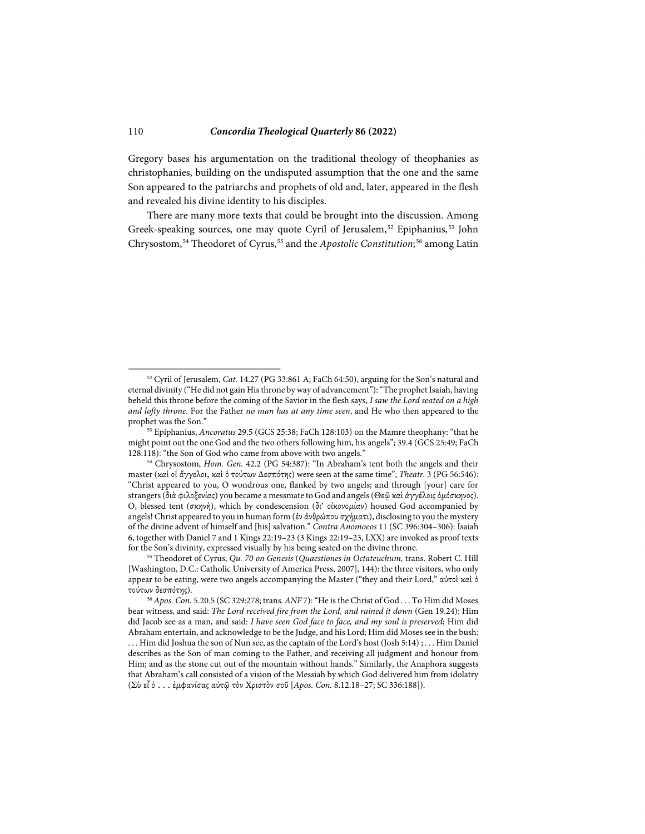-

Gregory bases his argumentation on the traditional theology of theophanies as christophanies, building on the undisputed assumption that the one and the same Son appeared to the patriarchs and prophets of old and, later, appeared in the flesh and revealed his divine identity to his disciples.

There are many more texts that could be brought into the discussion. Among Greek-speaking sources, one may quote Cyril of Jerusalem,<sup>[52](#page-13-0)</sup> Epiphanius,<sup>[53](#page-13-1)</sup> John Chrysostom,<sup>[54](#page-13-2)</sup> Theodoret of Cyrus,<sup>[55](#page-13-3)</sup> and the *Apostolic Constitution*;<sup>[56](#page-13-4)</sup> among Latin

<span id="page-13-0"></span><sup>52</sup> Cyril of Jerusalem, *Cat.* 14.27 (PG 33:861 A; FaCh 64:50), arguing for the Son's natural and eternal divinity ("He did not gain His throne by way of advancement"): "The prophet Isaiah, having beheld this throne before the coming of the Savior in the flesh says, *I saw the Lord seated on a high and lofty throne*. For the Father *no man has at any time seen*, and He who then appeared to the prophet was the Son." 53 Epiphanius, *Ancoratus* 29.5 (GCS 25:38; FaCh 128:103) on the Mamre theophany: "that he

<span id="page-13-1"></span>might point out the one God and the two others following him, his angels"; 39.4 (GCS 25:49; FaCh 128:118): "the Son of God who came from above with two angels."

<span id="page-13-2"></span><sup>&</sup>lt;sup>54</sup> Chrysostom, *Hom. Gen.* 42.2 (PG 54:387): "In Abraham's tent both the angels and their master (καὶ οἱ ἄγγελοι, καὶ ὁ τούτων Δεσπότης) were seen at the same time"; *Theatr.* 3 (PG 56:546): "Christ appeared to you, O wondrous one, flanked by two angels; and through [your] care for strangers (διὰ φιλοξενίας) you became a messmate to God and angels (Θεῷ καὶ ἀγγέλοις ὁμόσκηνος). O, blessed tent (σκηνὴ), which by condescension (δι' οἰκονομίαν) housed God accompanied by angels! Christ appeared to you in human form (ἐν ἀνθρώπου σχήματι), disclosing to you the mystery of the divine advent of himself and [his] salvation." *Contra Anomoeos* 11 (SC 396:304–306): Isaiah 6, together with Daniel 7 and 1 Kings 22:19–23 (3 Kings 22:19–23, LXX) are invoked as proof texts for the Son's divinity, expressed visually by his being seated on the divine throne.

<span id="page-13-3"></span><sup>55</sup> Theodoret of Cyrus, *Qu. 70 on Genesis* (*Quaestiones in Octateuchum,* trans. Robert C. Hill [Washington, D.C.: Catholic University of America Press, 2007], 144): the three visitors, who only appear to be eating, were two angels accompanying the Master ("they and their Lord," αὐτοὶ καὶ ὁ τούτων δεσπότης). 56 *Apos. Con.* 5.20.5 (SC 329:278; trans. *ANF* 7): "He is the Christ of God . . . To Him did Moses

<span id="page-13-4"></span>bear witness, and said: *The Lord received fire from the Lord, and rained it down* (Gen 19.24); Him did Jacob see as a man, and said: *I have seen God face to face, and my soul is preserved*; Him did Abraham entertain, and acknowledge to be the Judge, and his Lord; Him did Moses see in the bush; . . . Him did Joshua the son of Nun see, as the captain of the Lord's host (Josh 5:14) ; . . . Him Daniel describes as the Son of man coming to the Father, and receiving all judgment and honour from Him; and as the stone cut out of the mountain without hands." Similarly, the Anaphora suggests that Abraham's call consisted of a vision of the Messiah by which God delivered him from idolatry (Σὺ εἶ ὁ . . . ἐμφανίσας αὐτῷ τὸν Χριστὸν σοῦ [*Apos. Con.* 8.12.18–27; SC 336:188]).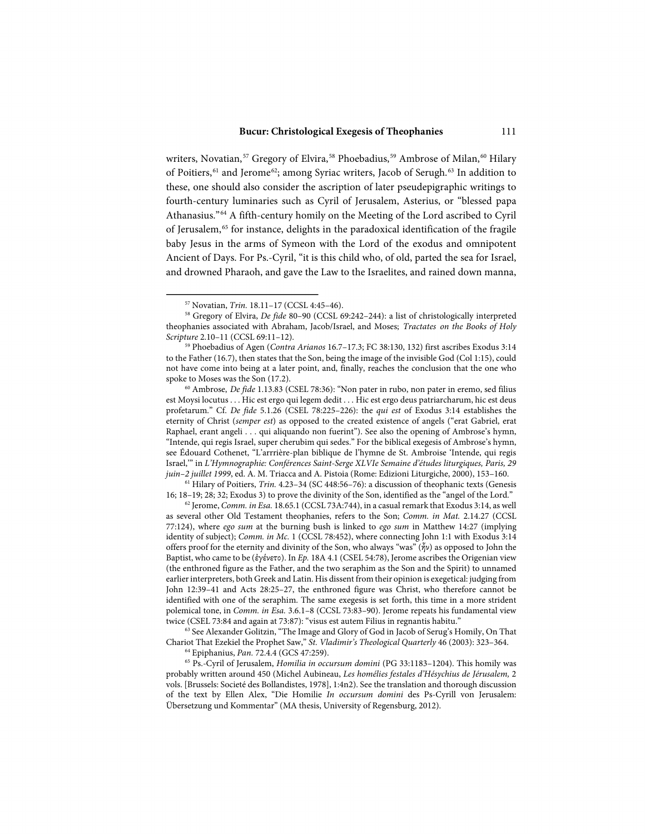writers, Novatian,<sup>[57](#page-14-0)</sup> Gregory of Elvira,<sup>[58](#page-14-1)</sup> Phoebadius,<sup>[59](#page-14-2)</sup> Ambrose of Milan,<sup>[60](#page-14-3)</sup> Hilary of Poitiers, <sup>[61](#page-14-4)</sup> and Jerome<sup>[62](#page-14-5)</sup>; among Syriac writers, Jacob of Serugh.<sup>[63](#page-14-6)</sup> In addition to these, one should also consider the ascription of later pseudepigraphic writings to fourth-century luminaries such as Cyril of Jerusalem, Asterius, or "blessed papa Athanasius."[64](#page-14-7) A fifth-century homily on the Meeting of the Lord ascribed to Cyril of Jerusalem,<sup>[65](#page-14-8)</sup> for instance, delights in the paradoxical identification of the fragile baby Jesus in the arms of Symeon with the Lord of the exodus and omnipotent Ancient of Days. For Ps.-Cyril, "it is this child who, of old, parted the sea for Israel, and drowned Pharaoh, and gave the Law to the Israelites, and rained down manna,

-

<span id="page-14-4"></span><sup>61</sup> Hilary of Poitiers, *Trin.* 4.23–34 (SC 448:56–76): a discussion of theophanic texts (Genesis 16; 18–19; 28; 32; Exodus 3) to prove the divinity of the Son, identified as the "angel of the Lord." 62 Jerome, *Comm. in Esa.* 18.65.1 (CCSL 73A:744), in a casual remark that Exodus 3:14, as well

<span id="page-14-5"></span>as several other Old Testament theophanies, refers to the Son; *Comm. in Mat.* 2.14.27 (CCSL 77:124), where *ego sum* at the burning bush is linked to *ego sum* in Matthew 14:27 (implying identity of subject); *Comm. in Mc.* 1 (CCSL 78:452), where connecting John 1:1 with Exodus 3:14 offers proof for the eternity and divinity of the Son, who always "was"  $(\tilde{\gamma}v)$  as opposed to John the Baptist, who came to be (ἐγένετο). In *Ep.* 18A 4.1 (CSEL 54:78), Jerome ascribes the Origenian view (the enthroned figure as the Father, and the two seraphim as the Son and the Spirit) to unnamed earlier interpreters, both Greek and Latin. His dissent from their opinion is exegetical: judging from John 12:39–41 and Acts 28:25–27, the enthroned figure was Christ, who therefore cannot be identified with one of the seraphim. The same exegesis is set forth, this time in a more strident polemical tone, in *Comm. in Esa.* 3.6.1–8 (CCSL 73:83–90). Jerome repeats his fundamental view twice (CSEL 73:84 and again at 73:87): "visus est autem Filius in regnantis habitu." 63 See Alexander Golitzin, "The Image and Glory of God in Jacob of Serug's Homily, On That

<span id="page-14-6"></span>Chariot That Ezekiel the Prophet Saw," *St. Vladimir's Theological Quarterly* 46 (2003): 323–364. <sup>64</sup> Epiphanius, *Pan.* 72.4.4 (GCS 47:259).

<span id="page-14-8"></span><span id="page-14-7"></span><sup>65</sup> Ps.-Cyril of Jerusalem, *Homilia in occursum domini* (PG 33:1183–1204). This homily was probably written around 450 (Michel Aubineau, *Les homélies festales d'Hésychius de Jérusalem,* 2 vols. [Brussels: Societé des Bollandistes, 1978], 1:4n2). See the translation and thorough discussion of the text by Ellen Alex, "Die Homilie *In occursum domini* des Ps-Cyrill von Jerusalem: Übersetzung und Kommentar" (MA thesis, University of Regensburg, 2012).

<sup>57</sup> Novatian, *Trin.* 18.11–17 (CCSL 4:45–46).

<span id="page-14-1"></span><span id="page-14-0"></span><sup>58</sup> Gregory of Elvira, *De fide* 80–90 (CCSL 69:242–244): a list of christologically interpreted theophanies associated with Abraham, Jacob/Israel, and Moses; *Tractates on the Books of Holy Scripture* 2.10–11 (CCSL 69:11–12).

<span id="page-14-2"></span><sup>59</sup> Phoebadius of Agen (*Contra Arianos* 16.7–17.3; FC 38:130, 132) first ascribes Exodus 3:14 to the Father (16.7), then states that the Son, being the image of the invisible God (Col 1:15), could not have come into being at a later point, and, finally, reaches the conclusion that the one who

<span id="page-14-3"></span>spoke to Moses was the Son (17.2).<br><sup>60</sup> Ambrose, *De fide* 1.13.83 (CSEL 78:36): "Non pater in rubo, non pater in eremo, sed filius est Moysi locutus . . . Hic est ergo qui legem dedit . . . Hic est ergo deus patriarcharum, hic est deus profetarum." Cf. *De fide* 5.1.26 (CSEL 78:225–226): the *qui est* of Exodus 3:14 establishes the eternity of Christ (*semper est*) as opposed to the created existence of angels ("erat Gabriel, erat Raphael, erant angeli . . . qui aliquando non fuerint"). See also the opening of Ambrose's hymn, "Intende, qui regis Israel, super cherubim qui sedes." For the biblical exegesis of Ambrose's hymn, see Édouard Cothenet, "L'arrrière-plan biblique de l'hymne de St. Ambroise 'Intende, qui regis Israel,'" in *L'Hymnographie: Conférences Saint-Serge XLVIe Semaine d'études liturgiques, Paris, 29 juin–2 juillet 1999*, ed. A. M. Triacca and A. Pistoia (Rome: Edizioni Liturgiche, 2000), 153–160.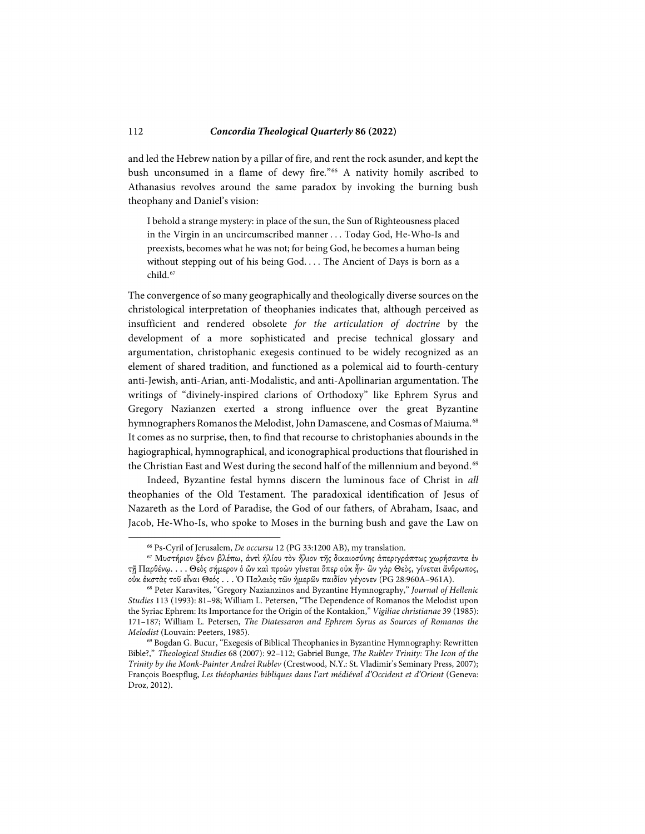and led the Hebrew nation by a pillar of fire, and rent the rock asunder, and kept the bush unconsumed in a flame of dewy fire."<sup>[66](#page-15-0)</sup> A nativity homily ascribed to Athanasius revolves around the same paradox by invoking the burning bush theophany and Daniel's vision:

I behold a strange mystery: in place of the sun, the Sun of Righteousness placed in the Virgin in an uncircumscribed manner . . . Today God, He-Who-Is and preexists, becomes what he was not; for being God, he becomes a human being without stepping out of his being God. . . . The Ancient of Days is born as a child.<sup>[67](#page-15-1)</sup>

The convergence of so many geographically and theologically diverse sources on the christological interpretation of theophanies indicates that, although perceived as insufficient and rendered obsolete *for the articulation of doctrine* by the development of a more sophisticated and precise technical glossary and argumentation, christophanic exegesis continued to be widely recognized as an element of shared tradition, and functioned as a polemical aid to fourth-century anti-Jewish, anti-Arian, anti-Modalistic, and anti-Apollinarian argumentation. The writings of "divinely-inspired clarions of Orthodoxy" like Ephrem Syrus and Gregory Nazianzen exerted a strong influence over the great Byzantine hymnographers Romanos the Melodist, John Damascene, and Cosmas of Maiuma.<sup>[68](#page-15-2)</sup> It comes as no surprise, then, to find that recourse to christophanies abounds in the hagiographical, hymnographical, and iconographical productions that flourished in the Christian East and West during the second half of the millennium and beyond.<sup>[69](#page-15-3)</sup>

Indeed, Byzantine festal hymns discern the luminous face of Christ in *all* theophanies of the Old Testament. The paradoxical identification of Jesus of Nazareth as the Lord of Paradise, the God of our fathers, of Abraham, Isaac, and Jacob, He-Who-Is, who spoke to Moses in the burning bush and gave the Law on

<sup>66</sup> Ps-Cyril of Jerusalem, *De occursu* 12 (PG 33:1200 AB), my translation.

<span id="page-15-1"></span><span id="page-15-0"></span><sup>67</sup> Μυστήριον ξένον βλέπω, ἀντὶ ἡλίου τὸν ἥλιον τῆς δικαιοσύνης ἀπεριγράπτως χωρήσαντα ἐν τῇ Παρθένῳ. . . . Θεὸς σήμερον ὁ ὤν καὶ προὼν γίνεται ὅπερ οὐκ ἦν· ὢν γὰρ Θεὸς, γίνεται ἄνθρωπος, οὐκ ἐκστὰς τοῦ εἶναι Θεός . . . Ὁ Παλαιὸς τῶν ἡμερῶν παιδίον γέγονεν (PG 28:960A–961A).

<span id="page-15-2"></span><sup>68</sup> Peter Karavites, "Gregory Nazianzinos and Byzantine Hymnography," *Journal of Hellenic Studies* 113 (1993): 81–98; William L. Petersen, "The Dependence of Romanos the Melodist upon the Syriac Ephrem: Its Importance for the Origin of the Kontakion," *Vigiliae christianae* 39 (1985): 171–187; William L. Petersen, *The Diatessaron and Ephrem Syrus as Sources of Romanos the Melodist* (Louvain: Peeters, 1985).

<span id="page-15-3"></span><sup>69</sup> Bogdan G. Bucur, "Exegesis of Biblical Theophanies in Byzantine Hymnography: Rewritten Bible?," *Theological Studies* 68 (2007): 92–112; Gabriel Bunge, *The Rublev Trinity: The Icon of the Trinity by the Monk-Painter Andrei Rublev* (Crestwood, N.Y.: St. Vladimir's Seminary Press, 2007); François Boespflug, *Les théophanies bibliques dans l'art médiéval d'Occident et d'Orient* (Geneva: Droz, 2012).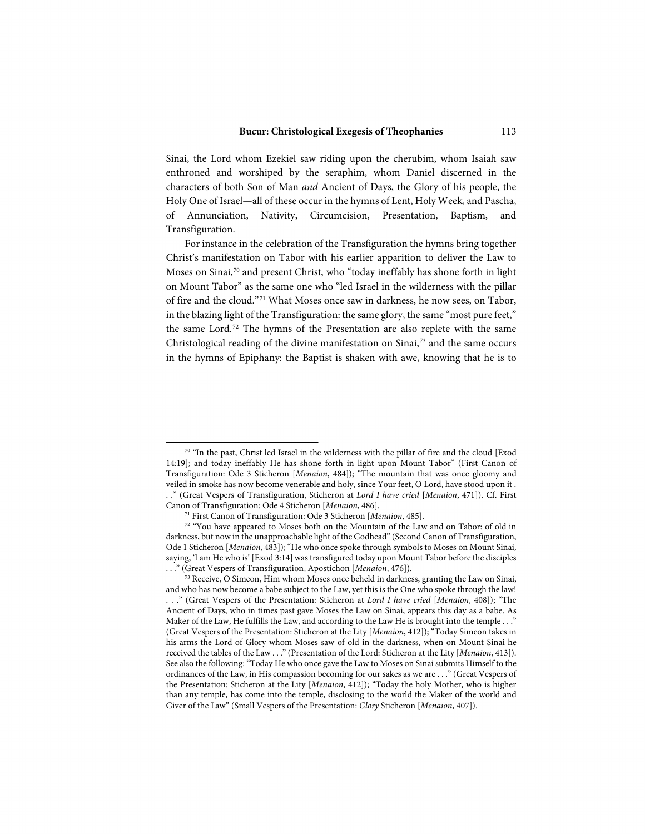Sinai, the Lord whom Ezekiel saw riding upon the cherubim, whom Isaiah saw enthroned and worshiped by the seraphim, whom Daniel discerned in the characters of both Son of Man *and* Ancient of Days, the Glory of his people, the Holy One of Israel—all of these occur in the hymns of Lent, Holy Week, and Pascha, of Annunciation, Nativity, Circumcision, Presentation, Baptism, and Transfiguration.

For instance in the celebration of the Transfiguration the hymns bring together Christ's manifestation on Tabor with his earlier apparition to deliver the Law to Moses on Sinai,<sup>[70](#page-16-0)</sup> and present Christ, who "today ineffably has shone forth in light on Mount Tabor" as the same one who "led Israel in the wilderness with the pillar of fire and the cloud."[71](#page-16-1) What Moses once saw in darkness, he now sees, on Tabor, in the blazing light of the Transfiguration: the same glory, the same "most pure feet," the same Lord.[72](#page-16-2) The hymns of the Presentation are also replete with the same Christological reading of the divine manifestation on  $S$ inai, $73$  and the same occurs in the hymns of Epiphany: the Baptist is shaken with awe, knowing that he is to

<span id="page-16-0"></span><sup>70 &</sup>quot;In the past, Christ led Israel in the wilderness with the pillar of fire and the cloud [Exod 14:19]; and today ineffably He has shone forth in light upon Mount Tabor" (First Canon of Transfiguration: Ode 3 Sticheron [*Menaion*, 484]); "The mountain that was once gloomy and veiled in smoke has now become venerable and holy, since Your feet, O Lord, have stood upon it . . ." (Great Vespers of Transfiguration, Sticheron at *Lord I have cried* [*Menaion*, 471]). Cf. First Canon of Transfiguration: Ode 4 Sticheron [*Menaion*, 486].

<sup>71</sup> First Canon of Transfiguration: Ode 3 Sticheron [*Menaion*, 485].

<span id="page-16-2"></span><span id="page-16-1"></span><sup>72 &</sup>quot;You have appeared to Moses both on the Mountain of the Law and on Tabor: of old in darkness, but now in the unapproachable light of the Godhead" (Second Canon of Transfiguration, Ode 1 Sticheron [*Menaion*, 483]); "He who once spoke through symbols to Moses on Mount Sinai, saying, 'I am He who is' [Exod 3:14] was transfigured today upon Mount Tabor before the disciples . . ." (Great Vespers of Transfiguration, Apostichon [*Menaion*, 476]).

<span id="page-16-3"></span><sup>&</sup>lt;sup>73</sup> Receive, O Simeon, Him whom Moses once beheld in darkness, granting the Law on Sinai, and who has now become a babe subject to the Law, yet this is the One who spoke through the law! . . ." (Great Vespers of the Presentation: Sticheron at *Lord I have cried* [*Menaion*, 408]); "The Ancient of Days, who in times past gave Moses the Law on Sinai, appears this day as a babe. As Maker of the Law, He fulfills the Law, and according to the Law He is brought into the temple . . ." (Great Vespers of the Presentation: Sticheron at the Lity [*Menaion*, 412]); "Today Simeon takes in his arms the Lord of Glory whom Moses saw of old in the darkness, when on Mount Sinai he received the tables of the Law . . ." (Presentation of the Lord: Sticheron at the Lity [*Menaion*, 413]). See also the following: "Today He who once gave the Law to Moses on Sinai submits Himself to the ordinances of the Law, in His compassion becoming for our sakes as we are . . ." (Great Vespers of the Presentation: Sticheron at the Lity [*Menaion*, 412]); "Today the holy Mother, who is higher than any temple, has come into the temple, disclosing to the world the Maker of the world and Giver of the Law" (Small Vespers of the Presentation: *Glory* Sticheron [*Menaion*, 407]).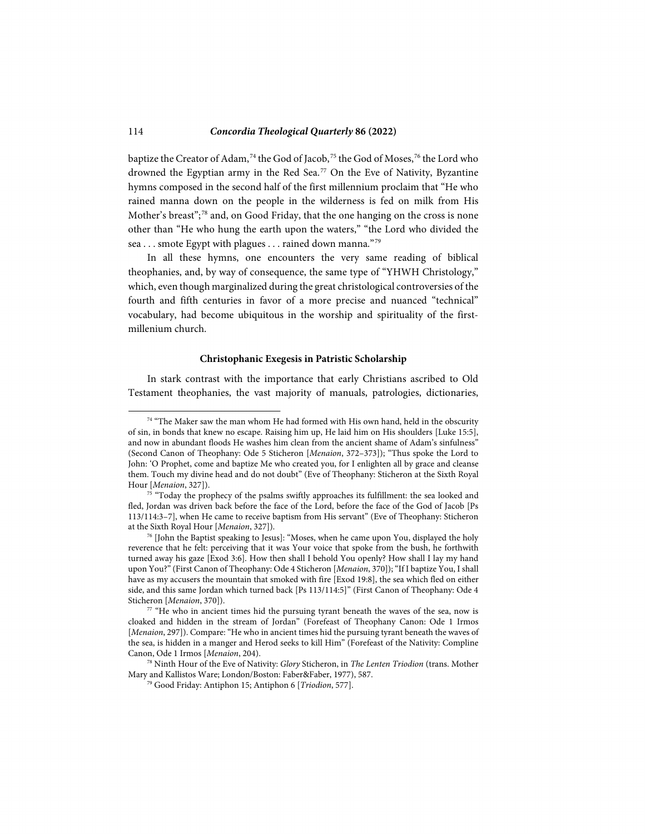baptize the Creator of Adam,<sup>[74](#page-17-0)</sup> the God of Jacob,<sup>[75](#page-17-1)</sup> the God of Moses,<sup>[76](#page-17-2)</sup> the Lord who drowned the Egyptian army in the Red Sea.<sup>[77](#page-17-3)</sup> On the Eve of Nativity, Byzantine hymns composed in the second half of the first millennium proclaim that "He who rained manna down on the people in the wilderness is fed on milk from His Mother's breast";<sup>[78](#page-17-4)</sup> and, on Good Friday, that the one hanging on the cross is none other than "He who hung the earth upon the waters," "the Lord who divided the sea . . . smote Egypt with plagues . . . rained down manna."79

In all these hymns, one encounters the very same reading of biblical theophanies, and, by way of consequence, the same type of "YHWH Christology," which, even though marginalized during the great christological controversies of the fourth and fifth centuries in favor of a more precise and nuanced "technical" vocabulary, had become ubiquitous in the worship and spirituality of the firstmillenium church.

#### **Christophanic Exegesis in Patristic Scholarship**

In stark contrast with the importance that early Christians ascribed to Old Testament theophanies, the vast majority of manuals, patrologies, dictionaries,

<span id="page-17-0"></span><sup>&</sup>lt;sup>74</sup> "The Maker saw the man whom He had formed with His own hand, held in the obscurity of sin, in bonds that knew no escape. Raising him up, He laid him on His shoulders [Luke 15:5], and now in abundant floods He washes him clean from the ancient shame of Adam's sinfulness" (Second Canon of Theophany: Ode 5 Sticheron [*Menaion*, 372–373]); "Thus spoke the Lord to John: 'O Prophet, come and baptize Me who created you, for I enlighten all by grace and cleanse them. Touch my divine head and do not doubt" (Eve of Theophany: Sticheron at the Sixth Royal

<span id="page-17-1"></span>Hour [*Menaion*, 327]).<br><sup>75</sup> "Today the prophecy of the psalms swiftly approaches its fulfillment: the sea looked and fled, Jordan was driven back before the face of the Lord, before the face of the God of Jacob [Ps 113/114:3–7], when He came to receive baptism from His servant" (Eve of Theophany: Sticheron at the Sixth Royal Hour [*Menaion*, 327]).

<span id="page-17-2"></span><sup>76</sup> [John the Baptist speaking to Jesus]: "Moses, when he came upon You, displayed the holy reverence that he felt: perceiving that it was Your voice that spoke from the bush, he forthwith turned away his gaze [Exod 3:6]. How then shall I behold You openly? How shall I lay my hand upon You?" (First Canon of Theophany: Ode 4 Sticheron [*Menaion*, 370]); "If I baptize You, I shall have as my accusers the mountain that smoked with fire [Exod 19:8], the sea which fled on either side, and this same Jordan which turned back [Ps 113/114:5]" (First Canon of Theophany: Ode 4 Sticheron [*Menaion*, 370]).

<span id="page-17-3"></span><sup>77 &</sup>quot;He who in ancient times hid the pursuing tyrant beneath the waves of the sea, now is cloaked and hidden in the stream of Jordan" (Forefeast of Theophany Canon: Ode 1 Irmos [*Menaion*, 297]). Compare: "He who in ancient times hid the pursuing tyrant beneath the waves of the sea, is hidden in a manger and Herod seeks to kill Him" (Forefeast of the Nativity: Compline Canon, Ode 1 Irmos [*Menaion*, 204).

<span id="page-17-5"></span><span id="page-17-4"></span><sup>78</sup> Ninth Hour of the Eve of Nativity: *Glory* Sticheron, in *The Lenten Triodion* (trans. Mother Mary and Kallistos Ware; London/Boston: Faber&Faber, 1977), 587. 79 Good Friday: Antiphon 15; Antiphon 6 [*Triodion*, 577].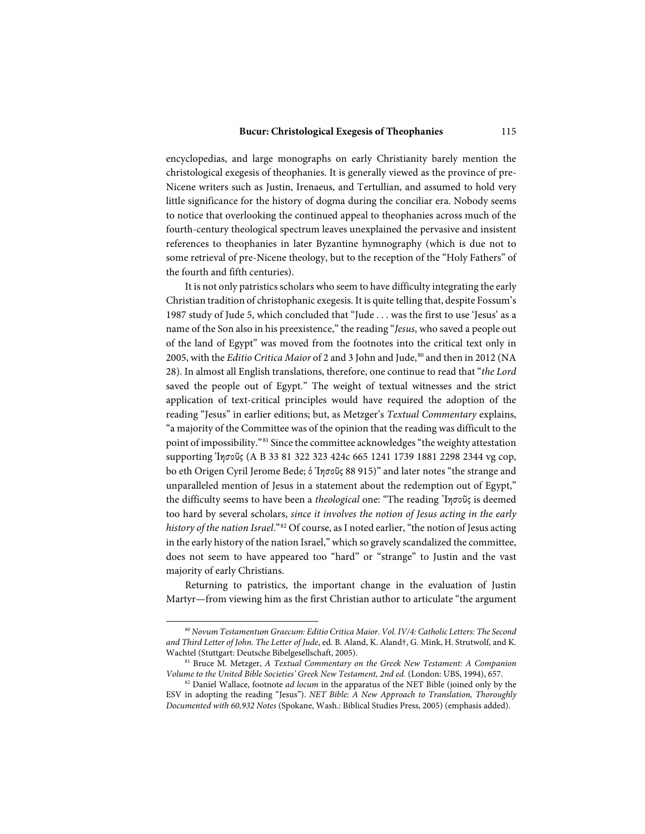encyclopedias, and large monographs on early Christianity barely mention the christological exegesis of theophanies. It is generally viewed as the province of pre-Nicene writers such as Justin, Irenaeus, and Tertullian, and assumed to hold very little significance for the history of dogma during the conciliar era. Nobody seems to notice that overlooking the continued appeal to theophanies across much of the fourth-century theological spectrum leaves unexplained the pervasive and insistent references to theophanies in later Byzantine hymnography (which is due not to some retrieval of pre-Nicene theology, but to the reception of the "Holy Fathers" of the fourth and fifth centuries).

It is not only patristics scholars who seem to have difficulty integrating the early Christian tradition of christophanic exegesis. It is quite telling that, despite Fossum's 1987 study of Jude 5, which concluded that "Jude . . . was the first to use 'Jesus' as a name of the Son also in his preexistence," the reading "*Jesus*, who saved a people out of the land of Egypt" was moved from the footnotes into the critical text only in 2005, with the *Editio Critica Maior* of 2 and 3 John and Jude, <sup>[80](#page-18-0)</sup> and then in 2012 (NA 28). In almost all English translations, therefore, one continue to read that "*the Lord* saved the people out of Egypt." The weight of textual witnesses and the strict application of text-critical principles would have required the adoption of the reading "Jesus" in earlier editions; but, as Metzger's *Textual Commentary* explains, "a majority of the Committee was of the opinion that the reading was difficult to the point of impossibility."[81](#page-18-1) Since the committee acknowledges "the weighty attestation supporting Ἰησοῦς (A B 33 81 322 323 424c 665 1241 1739 1881 2298 2344 vg cop, bo eth Origen Cyril Jerome Bede; ὁ Ἰησοῦς 88 915)" and later notes "the strange and unparalleled mention of Jesus in a statement about the redemption out of Egypt," the difficulty seems to have been a *theological* one: "The reading ᾿Ιησοῦς is deemed too hard by several scholars, *since it involves the notion of Jesus acting in the early history of the nation Israel*."[82](#page-18-2) Of course, as I noted earlier, "the notion of Jesus acting in the early history of the nation Israel," which so gravely scandalized the committee, does not seem to have appeared too "hard" or "strange" to Justin and the vast majority of early Christians.

Returning to patristics, the important change in the evaluation of Justin Martyr—from viewing him as the first Christian author to articulate "the argument

<span id="page-18-0"></span><sup>80</sup> *Novum Testamentum Graecum: Editio Critica Maior*. *Vol. IV/4: Catholic Letters: The Second and Third Letter of John. The Letter of Jude*, ed. B. Aland, K. Aland†, G. Mink, H. Strutwolf, and K. Wachtel (Stuttgart: Deutsche Bibelgesellschaft, 2005).

<span id="page-18-1"></span><sup>81</sup> Bruce M. Metzger, *A Textual Commentary on the Greek New Testament: A Companion Volume to the United Bible Societies' Greek New Testament, 2nd ed.* (London: UBS, 1994), 657.

<span id="page-18-2"></span><sup>82</sup> Daniel Wallace, footnote *ad locum* in the apparatus of the NET Bible (joined only by the ESV in adopting the reading "Jesus"). *NET Bible: A New Approach to Translation, Thoroughly Documented with 60,932 Notes* (Spokane, Wash.: Biblical Studies Press, 2005) (emphasis added).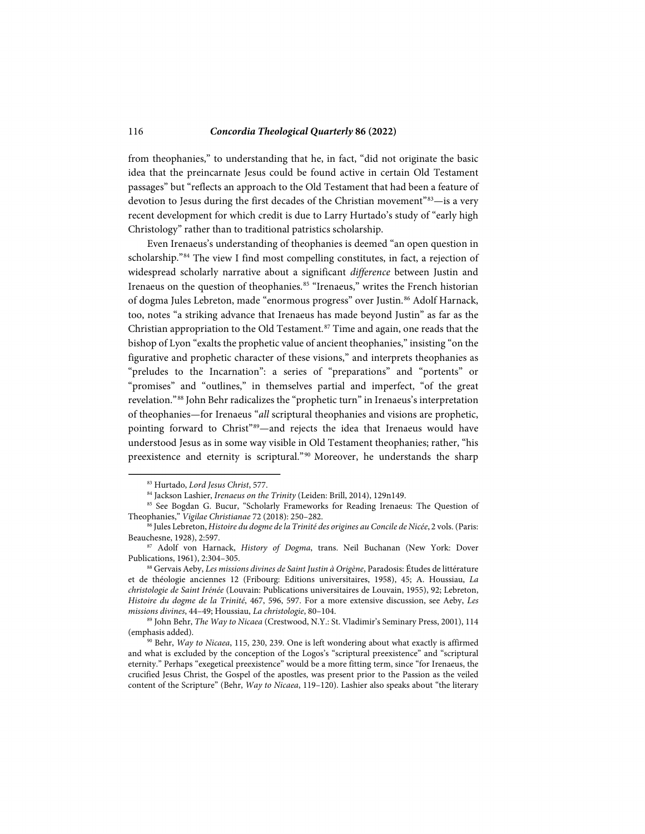from theophanies," to understanding that he, in fact, "did not originate the basic idea that the preincarnate Jesus could be found active in certain Old Testament passages" but "reflects an approach to the Old Testament that had been a feature of devotion to Jesus during the first decades of the Christian movement"<sup>83</sup>-is a very recent development for which credit is due to Larry Hurtado's study of "early high Christology" rather than to traditional patristics scholarship.

Even Irenaeus's understanding of theophanies is deemed "an open question in scholarship."[84](#page-19-1) The view I find most compelling constitutes, in fact, a rejection of widespread scholarly narrative about a significant *difference* between Justin and Irenaeus on the question of theophanies.<sup>85</sup> "Irenaeus," writes the French historian of dogma Jules Lebreton, made "enormous progress" over Justin. [86](#page-19-3) Adolf Harnack, too, notes "a striking advance that Irenaeus has made beyond Justin" as far as the Christian appropriation to the Old Testament.<sup>[87](#page-19-4)</sup> Time and again, one reads that the bishop of Lyon "exalts the prophetic value of ancient theophanies," insisting "on the figurative and prophetic character of these visions," and interprets theophanies as "preludes to the Incarnation": a series of "preparations" and "portents" or "promises" and "outlines," in themselves partial and imperfect, "of the great revelation."[88](#page-19-5) John Behr radicalizes the "prophetic turn" in Irenaeus's interpretation of theophanies—for Irenaeus "*all* scriptural theophanies and visions are prophetic, pointing forward to Christ"[89](#page-19-6)-and rejects the idea that Irenaeus would have understood Jesus as in some way visible in Old Testament theophanies; rather, "his preexistence and eternity is scriptural."<sup>[90](#page-19-7)</sup> Moreover, he understands the sharp

<sup>83</sup> Hurtado, *Lord Jesus Christ*, 577.

<sup>84</sup> Jackson Lashier, *Irenaeus on the Trinity* (Leiden: Brill, 2014), 129n149.

<span id="page-19-2"></span><span id="page-19-1"></span><span id="page-19-0"></span><sup>85</sup> See Bogdan G. Bucur, "Scholarly Frameworks for Reading Irenaeus: The Question of Theophanies," *Vigilae Christianae* 72 (2018): 250–282.

<span id="page-19-3"></span><sup>86</sup> Jules Lebreton, *Histoire du dogme de la Trinité des origines au Concile de Nicée*, 2 vols. (Paris: Beauchesne, 1928), 2:597.

<span id="page-19-4"></span><sup>87</sup> Adolf von Harnack, *History of Dogma*, trans. Neil Buchanan (New York: Dover Publications, 1961), 2:304–305.

<span id="page-19-5"></span><sup>88</sup> Gervais Aeby, *Les missions divines de Saint Justin à Origène*, Paradosis: Études de littérature et de théologie anciennes 12 (Fribourg: Editions universitaires, 1958), 45; A. Houssiau, *La christologie de Saint Irénée* (Louvain: Publications universitaires de Louvain, 1955), 92; Lebreton, *Histoire du dogme de la Trinité*, 467, 596, 597. For a more extensive discussion, see Aeby, *Les missions divines*, 44–49; Houssiau, *La christologie*, 80–104.

<span id="page-19-6"></span><sup>89</sup> John Behr, *The Way to Nicaea* (Crestwood, N.Y.: St. Vladimir's Seminary Press, 2001), 114 (emphasis added).

<span id="page-19-7"></span><sup>90</sup> Behr, *Way to Nicaea*, 115, 230, 239. One is left wondering about what exactly is affirmed and what is excluded by the conception of the Logos's "scriptural preexistence" and "scriptural eternity." Perhaps "exegetical preexistence" would be a more fitting term, since "for Irenaeus, the crucified Jesus Christ, the Gospel of the apostles, was present prior to the Passion as the veiled content of the Scripture" (Behr, *Way to Nicaea*, 119–120). Lashier also speaks about "the literary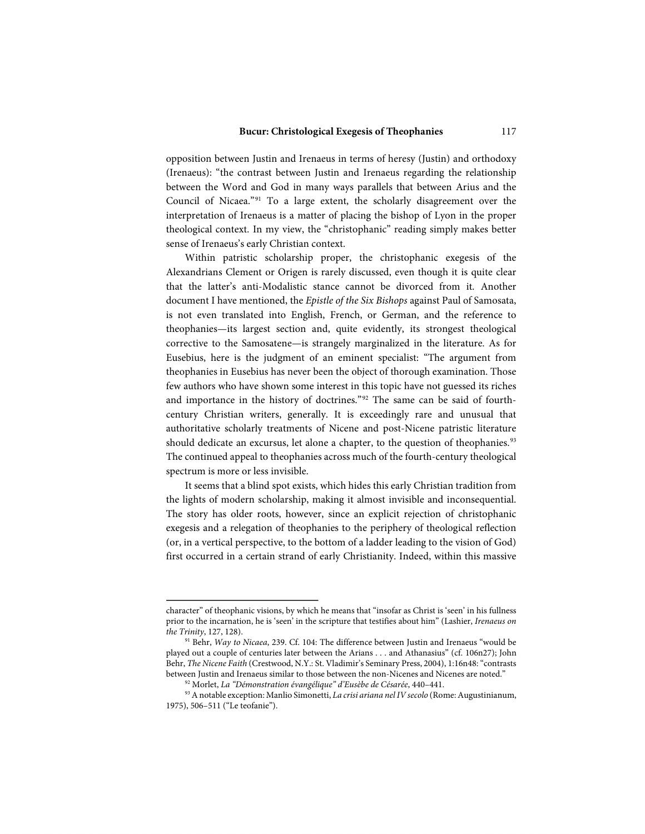opposition between Justin and Irenaeus in terms of heresy (Justin) and orthodoxy (Irenaeus): "the contrast between Justin and Irenaeus regarding the relationship between the Word and God in many ways parallels that between Arius and the Council of Nicaea."[91](#page-20-0) To a large extent, the scholarly disagreement over the interpretation of Irenaeus is a matter of placing the bishop of Lyon in the proper theological context. In my view, the "christophanic" reading simply makes better sense of Irenaeus's early Christian context.

Within patristic scholarship proper, the christophanic exegesis of the Alexandrians Clement or Origen is rarely discussed, even though it is quite clear that the latter's anti-Modalistic stance cannot be divorced from it. Another document I have mentioned, the *Epistle of the Six Bishops* against Paul of Samosata, is not even translated into English, French, or German, and the reference to theophanies—its largest section and, quite evidently, its strongest theological corrective to the Samosatene—is strangely marginalized in the literature. As for Eusebius, here is the judgment of an eminent specialist: "The argument from theophanies in Eusebius has never been the object of thorough examination. Those few authors who have shown some interest in this topic have not guessed its riches and importance in the history of doctrines."<sup>[92](#page-20-1)</sup> The same can be said of fourthcentury Christian writers, generally. It is exceedingly rare and unusual that authoritative scholarly treatments of Nicene and post-Nicene patristic literature should dedicate an excursus, let alone a chapter, to the question of theophanies.<sup>[93](#page-20-2)</sup> The continued appeal to theophanies across much of the fourth-century theological spectrum is more or less invisible.

It seems that a blind spot exists, which hides this early Christian tradition from the lights of modern scholarship, making it almost invisible and inconsequential. The story has older roots, however, since an explicit rejection of christophanic exegesis and a relegation of theophanies to the periphery of theological reflection (or, in a vertical perspective, to the bottom of a ladder leading to the vision of God) first occurred in a certain strand of early Christianity. Indeed, within this massive

character" of theophanic visions, by which he means that "insofar as Christ is 'seen' in his fullness prior to the incarnation, he is 'seen' in the scripture that testifies about him" (Lashier, *Irenaeus on the Trinity*, 127, 128).

<span id="page-20-0"></span><sup>91</sup> Behr, *Way to Nicaea*, 239. Cf. 104: The difference between Justin and Irenaeus "would be played out a couple of centuries later between the Arians . . . and Athanasius" (cf. 106n27); John Behr, *The Nicene Faith* (Crestwood, N.Y.: St. Vladimir's Seminary Press, 2004), 1:16n48: "contrasts between Justin and Irenaeus similar to those between the non-Nicenes and Nicenes are noted."

<sup>&</sup>lt;sup>92</sup> Morlet, La "Démonstration évangélique" d'Eusèbe de Césarée, 440-441.

<span id="page-20-2"></span><span id="page-20-1"></span><sup>93</sup>A notable exception: Manlio Simonetti, *La crisi ariana nel IV secolo* (Rome: Augustinianum, 1975), 506–511 ("Le teofanie").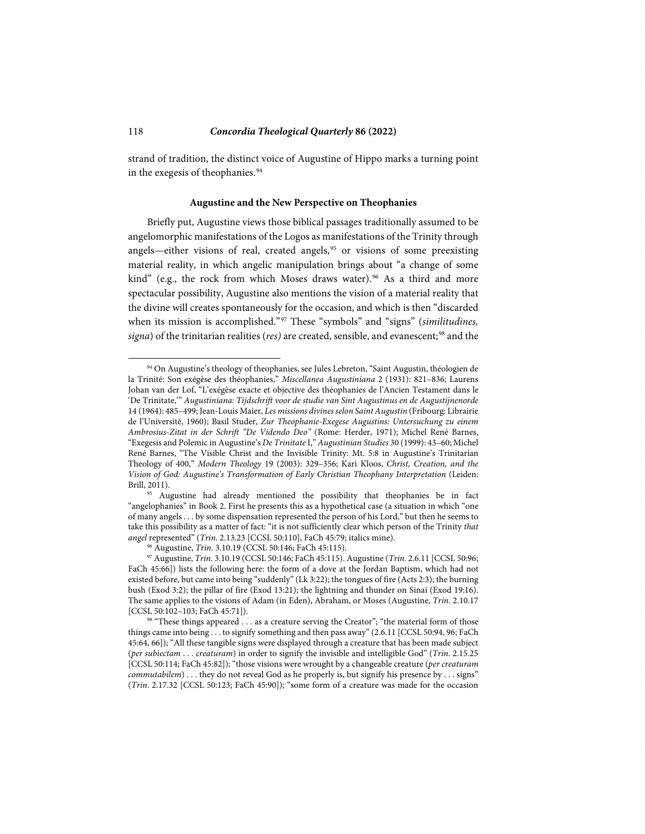strand of tradition, the distinct voice of Augustine of Hippo marks a turning point in the exegesis of theophanies.<sup>[94](#page-21-0)</sup>

#### **Augustine and the New Perspective on Theophanies**

Briefly put, Augustine views those biblical passages traditionally assumed to be angelomorphic manifestations of the Logos as manifestations of the Trinity through angels—either visions of real, created angels,<sup>[95](#page-21-1)</sup> or visions of some preexisting material reality, in which angelic manipulation brings about "a change of some kind" (e.g., the rock from which Moses draws water).<sup>[96](#page-21-2)</sup> As a third and more spectacular possibility, Augustine also mentions the vision of a material reality that the divine will creates spontaneously for the occasion, and which is then "discarded when its mission is accomplished."[97](#page-21-3) These "symbols" and "signs" (*similitudines, signa*) of the trinitarian realities (*res)* are created, sensible, and evanescent; [98](#page-21-4) and the

<span id="page-21-0"></span><sup>&</sup>lt;sup>94</sup> On Augustine's theology of theophanies, see Jules Lebreton, "Saint Augustin, théologien de la Trinité: Son exégèse des théophanies," *Miscellanea Augustiniana* 2 (1931): 821–836; Laurens Johan van der Lof, "L'exégèse exacte et objective des théophanies de l'Ancien Testament dans le 'De Trinitate,'" *Augustiniana: Tijdschrift voor de studie van Sint Augustinus en de Augustijnenorde*  14 (1964): 485–499; Jean-Louis Maier, *Les missions divines selon Saint Augustin* (Fribourg: Librairie de l'Université, 1960); Basil Studer, *Zur Theophanie-Exegese Augustins: Untersuchung zu einem Ambrosius-Zitat in der Schrift "De Videndo Deo"* (Rome: Herder, 1971); Michel René Barnes, "Exegesis and Polemic in Augustine's *De Trinitate* I," *Augustinian Studies* 30 (1999): 43–60; Michel René Barnes, "The Visible Christ and the Invisible Trinity: Mt. 5:8 in Augustine's Trinitarian Theology of 400," *Modern Theology* 19 (2003): 329–356; Kari Kloos, *Christ, Creation, and the Vision of God: Augustine's Transformation of Early Christian Theophany Interpretation* (Leiden: Brill, 2011).

<span id="page-21-1"></span><sup>&</sup>lt;sup>95</sup> Augustine had already mentioned the possibility that theophanies be in fact "angelophanies" in Book 2. First he presents this as a hypothetical case (a situation in which "one of many angels . . . by some dispensation represented the person of his Lord," but then he seems to take this possibility as a matter of fact: "it is not sufficiently clear which person of the Trinity *that angel* represented" (*Trin*. 2.13.23 [CCSL 50:110], FaCh 45:79; italics mine).

<sup>96</sup> Augustine, *Trin.* 3.10.19 (CCSL 50:146; FaCh 45:115).

<span id="page-21-3"></span><span id="page-21-2"></span><sup>97</sup> Augustine, *Trin.* 3.10.19 (CCSL 50:146; FaCh 45:115). Augustine (*Trin.* 2.6.11 [CCSL 50:96; FaCh 45:66]) lists the following here: the form of a dove at the Jordan Baptism, which had not existed before, but came into being "suddenly" (Lk 3:22); the tongues of fire (Acts 2:3); the burning bush (Exod 3:2); the pillar of fire (Exod 13:21); the lightning and thunder on Sinai (Exod 19:16). The same applies to the visions of Adam (in Eden), Abraham, or Moses (Augustine, *Trin.* 2.10.17 [CCSL 50:102–103; FaCh 45:71]).<br><sup>98</sup> "These things appeared . . . as a creature serving the Creator"; "the material form of those

<span id="page-21-4"></span>things came into being . . . to signify something and then pass away" (2.6.11 [CCSL 50:94, 96; FaCh 45:64, 66]); "All these tangible signs were displayed through a creature that has been made subject (*per subiectam* . . . *creaturam*) in order to signify the invisible and intelligible God" (*Trin*. 2.15.25 [CCSL 50:114; FaCh 45:82]); "those visions were wrought by a changeable creature (*per creaturam commutabilem*) . . . they do not reveal God as he properly is, but signify his presence by . . . signs" (*Trin*. 2.17.32 [CCSL 50:123; FaCh 45:90]); "some form of a creature was made for the occasion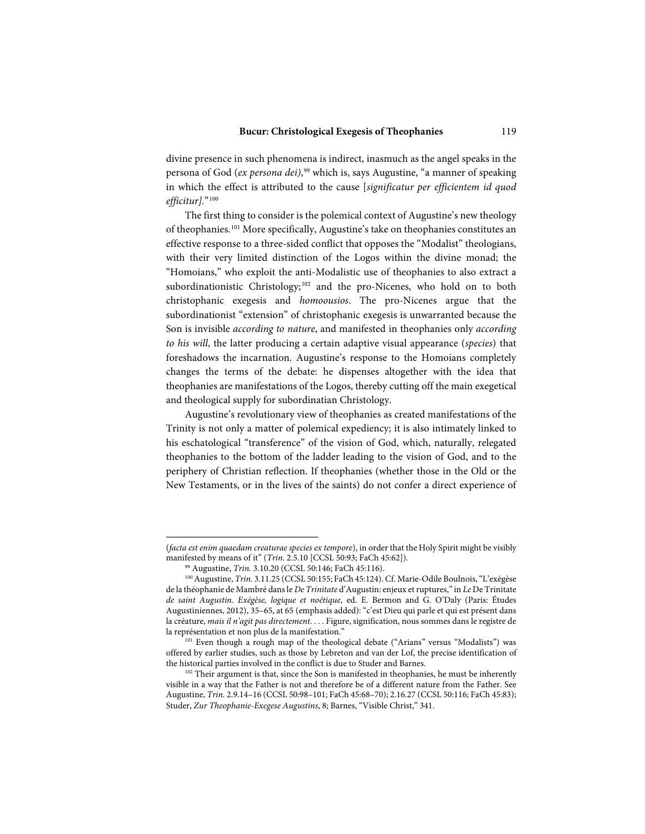divine presence in such phenomena is indirect, inasmuch as the angel speaks in the persona of God (*ex persona dei)*, [99](#page-22-0) which is, says Augustine, "a manner of speaking in which the effect is attributed to the cause [*significatur per efficientem id quod efficitur].*"[100](#page-22-1)

The first thing to consider is the polemical context of Augustine's new theology of theophanies.[101](#page-22-2) More specifically, Augustine's take on theophanies constitutes an effective response to a three-sided conflict that opposes the "Modalist" theologians, with their very limited distinction of the Logos within the divine monad; the "Homoians," who exploit the anti-Modalistic use of theophanies to also extract a subordinationistic Christology;<sup>[102](#page-22-3)</sup> and the pro-Nicenes, who hold on to both christophanic exegesis and *homoousios*. The pro-Nicenes argue that the subordinationist "extension" of christophanic exegesis is unwarranted because the Son is invisible *according to nature*, and manifested in theophanies only *according to his will*, the latter producing a certain adaptive visual appearance (*species*) that foreshadows the incarnation. Augustine's response to the Homoians completely changes the terms of the debate: he dispenses altogether with the idea that theophanies are manifestations of the Logos, thereby cutting off the main exegetical and theological supply for subordinatian Christology.

Augustine's revolutionary view of theophanies as created manifestations of the Trinity is not only a matter of polemical expediency; it is also intimately linked to his eschatological "transference" of the vision of God, which, naturally, relegated theophanies to the bottom of the ladder leading to the vision of God, and to the periphery of Christian reflection. If theophanies (whether those in the Old or the New Testaments, or in the lives of the saints) do not confer a direct experience of

<sup>(</sup>*facta est enim quaedam creaturae species ex tempore*), in order that the Holy Spirit might be visibly manifested by means of it" (*Trin*. 2.5.10 [CCSL 50:93; FaCh 45:62]).

<sup>99</sup> Augustine, *Trin.* 3.10.20 (CCSL 50:146; FaCh 45:116).

<span id="page-22-1"></span><span id="page-22-0"></span><sup>&</sup>lt;sup>100</sup> Augustine, *Trin.* 3.11.25 (CCSL 50:155; FaCh 45:124). Cf. Marie-Odile Boulnois, "L'exégèse de la théophanie de Mambré dans le *De Trinitate* d'Augustin: enjeux et ruptures," in *Le* De Trinitate *de saint Augustin. Exégèse, logique et noétique*, ed. E. Bermon and G. O'Daly (Paris: Études Augustiniennes, 2012), 35–65, at 65 (emphasis added): "c'est Dieu qui parle et qui est présent dans la créature, *mais il n'agit pas directement*. . . . Figure, signification, nous sommes dans le registre de la représentation et non plus de la manifestation."

<span id="page-22-2"></span><sup>&</sup>lt;sup>101</sup> Even though a rough map of the theological debate ("Arians" versus "Modalists") was offered by earlier studies, such as those by Lebreton and van der Lof, the precise identification of the historical parties involved in the conflict is due to Studer and Barnes.<br><sup>102</sup> Their argument is that, since the Son is manifested in theophanies, he must be inherently

<span id="page-22-3"></span>visible in a way that the Father is not and therefore be of a different nature from the Father. See Augustine, *Trin.* 2.9.14–16 (CCSL 50:98–101; FaCh 45:68–70); 2.16.27 (CCSL 50:116; FaCh 45:83); Studer, *Zur Theophanie-Exegese Augustins*, 8; Barnes, "Visible Christ," 341.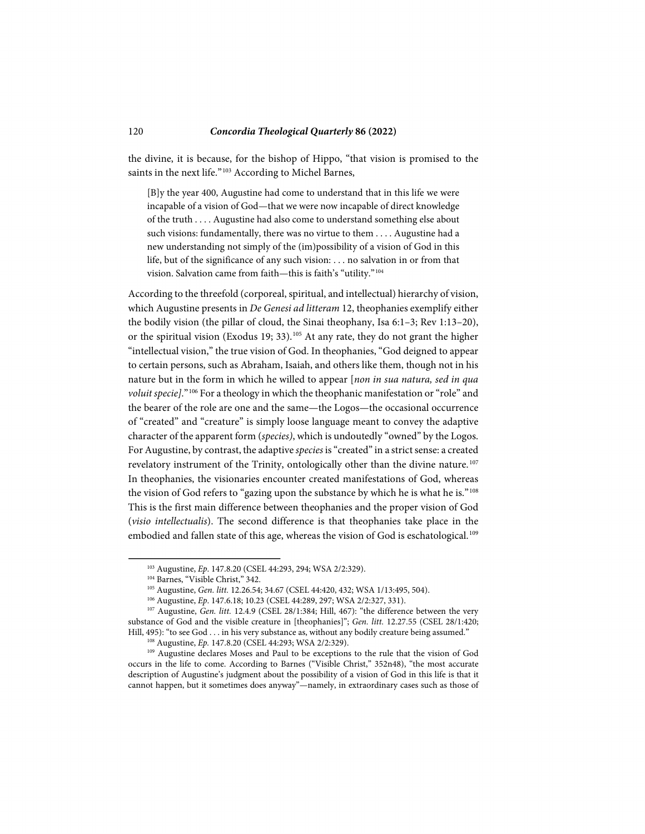the divine, it is because, for the bishop of Hippo, "that vision is promised to the saints in the next life."<sup>[103](#page-23-0)</sup> According to Michel Barnes,

[B]y the year 400, Augustine had come to understand that in this life we were incapable of a vision of God—that we were now incapable of direct knowledge of the truth . . . . Augustine had also come to understand something else about such visions: fundamentally, there was no virtue to them . . . . Augustine had a new understanding not simply of the (im)possibility of a vision of God in this life, but of the significance of any such vision: . . . no salvation in or from that vision. Salvation came from faith—this is faith's "utility."[104](#page-23-1)

According to the threefold (corporeal, spiritual, and intellectual) hierarchy of vision, which Augustine presents in *De Genesi ad litteram* 12, theophanies exemplify either the bodily vision (the pillar of cloud, the Sinai theophany, Isa 6:1–3; Rev 1:13–20), or the spiritual vision (Exodus 19; 33).<sup>[105](#page-23-2)</sup> At any rate, they do not grant the higher "intellectual vision," the true vision of God. In theophanies, "God deigned to appear to certain persons, such as Abraham, Isaiah, and others like them, though not in his nature but in the form in which he willed to appear [*non in sua natura, sed in qua voluit specie]*."[106](#page-23-3) For a theology in which the theophanic manifestation or "role" and the bearer of the role are one and the same—the Logos—the occasional occurrence of "created" and "creature" is simply loose language meant to convey the adaptive character of the apparent form (*species)*, which is undoutedly "owned" by the Logos. For Augustine, by contrast, the adaptive *species* is "created" in a strict sense: a created revelatory instrument of the Trinity, ontologically other than the divine nature.<sup>[107](#page-23-4)</sup> In theophanies, the visionaries encounter created manifestations of God, whereas the vision of God refers to "gazing upon the substance by which he is what he is."[108](#page-23-5) This is the first main difference between theophanies and the proper vision of God (*visio intellectualis*). The second difference is that theophanies take place in the embodied and fallen state of this age, whereas the vision of God is eschatological.<sup>[109](#page-23-6)</sup>

<sup>103</sup> Augustine, *Ep*. 147.8.20 (CSEL 44:293, 294; WSA 2/2:329).

<sup>&</sup>lt;sup>104</sup> Barnes, "Visible Christ," 342.

<sup>105</sup> Augustine, *Gen. litt.* 12.26.54; 34.67 (CSEL 44:420, 432; WSA 1/13:495, 504). 106 Augustine, *Ep*. 147.6.18; 10.23 (CSEL 44:289, 297; WSA 2/2:327, 331).

<span id="page-23-4"></span><span id="page-23-3"></span><span id="page-23-2"></span><span id="page-23-1"></span><span id="page-23-0"></span><sup>&</sup>lt;sup>107</sup> Augustine, *Gen. litt.* 12.4.9 (CSEL 28/1:384; Hill, 467): "the difference between the very substance of God and the visible creature in [theophanies]"; *Gen. litt.* 12.27.55 (CSEL 28/1:420; Hill, 495): "to see God . . . in his very substance as, without any bodily creature being assumed."  $^{108}$  Augustine, *Ep.* 147.8.20 (CSEL 44:293; WSA 2/2:329).

<span id="page-23-6"></span><span id="page-23-5"></span><sup>109</sup> Augustine declares Moses and Paul to be exceptions to the rule that the vision of God occurs in the life to come. According to Barnes ("Visible Christ," 352n48), "the most accurate description of Augustine's judgment about the possibility of a vision of God in this life is that it cannot happen, but it sometimes does anyway"—namely, in extraordinary cases such as those of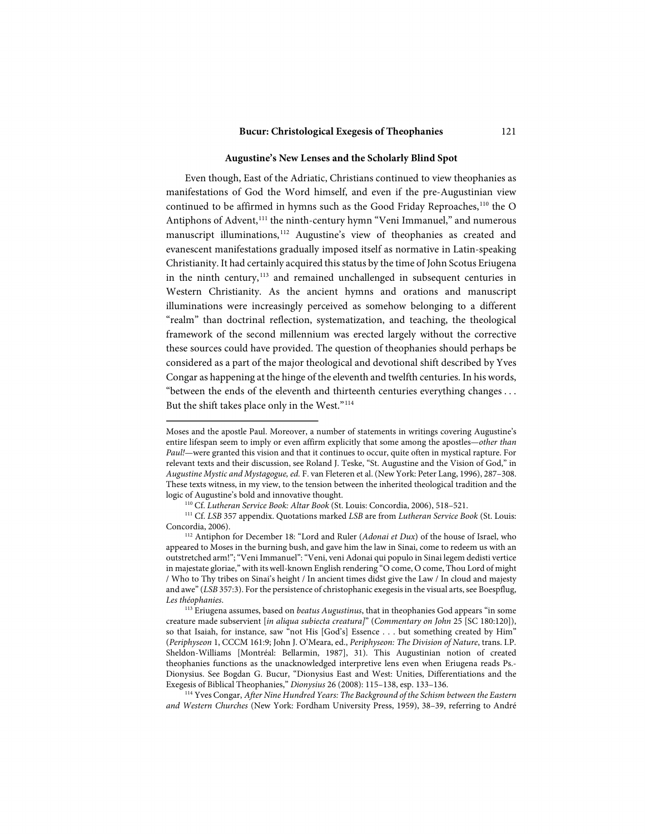#### **Augustine's New Lenses and the Scholarly Blind Spot**

Even though, East of the Adriatic, Christians continued to view theophanies as manifestations of God the Word himself, and even if the pre-Augustinian view continued to be affirmed in hymns such as the Good Friday Reproaches,<sup>[110](#page-24-0)</sup> the O Antiphons of Advent,<sup>[111](#page-24-1)</sup> the ninth-century hymn "Veni Immanuel," and numerous manuscript illuminations,<sup>[112](#page-24-2)</sup> Augustine's view of theophanies as created and evanescent manifestations gradually imposed itself as normative in Latin-speaking Christianity. It had certainly acquired this status by the time of John Scotus Eriugena in the ninth century, [113](#page-24-3) and remained unchallenged in subsequent centuries in Western Christianity. As the ancient hymns and orations and manuscript illuminations were increasingly perceived as somehow belonging to a different "realm" than doctrinal reflection, systematization, and teaching, the theological framework of the second millennium was erected largely without the corrective these sources could have provided. The question of theophanies should perhaps be considered as a part of the major theological and devotional shift described by Yves Congar as happening at the hinge of the eleventh and twelfth centuries. In his words, "between the ends of the eleventh and thirteenth centuries everything changes . . . But the shift takes place only in the West."[114](#page-24-4)

Moses and the apostle Paul. Moreover, a number of statements in writings covering Augustine's entire lifespan seem to imply or even affirm explicitly that some among the apostles—*other than Paul!*—were granted this vision and that it continues to occur, quite often in mystical rapture. For relevant texts and their discussion, see Roland J. Teske, "St. Augustine and the Vision of God," in *Augustine Mystic and Mystagogue, ed.* F. van Fleteren et al. (New York: Peter Lang, 1996), 287–308. These texts witness, in my view, to the tension between the inherited theological tradition and the logic of Augustine's bold and innovative thought.

<sup>110</sup> Cf. *Lutheran Service Book: Altar Book* (St. Louis: Concordia, 2006), 518–521.

<span id="page-24-1"></span><span id="page-24-0"></span><sup>111</sup> Cf. *LSB* 357 appendix. Quotations marked *LSB* are from *Lutheran Service Book* (St. Louis: Concordia, 2006).

<span id="page-24-2"></span><sup>112</sup> Antiphon for December 18: "Lord and Ruler (*Adonai et Dux*) of the house of Israel, who appeared to Moses in the burning bush, and gave him the law in Sinai, come to redeem us with an outstretched arm!"; "Veni Immanuel": "Veni, veni Adonai qui populo in Sinai legem dedisti vertice in majestate gloriae," with its well-known English rendering "O come, O come, Thou Lord of might / Who to Thy tribes on Sinai's height / In ancient times didst give the Law / In cloud and majesty and awe" (*LSB* 357:3). For the persistence of christophanic exegesis in the visual arts, see Boespflug,

<span id="page-24-3"></span>*Les théophanies*. 113 Eriugena assumes, based on *beatus Augustinus*, that in theophanies God appears "in some creature made subservient [*in aliqua subiecta creatura]*" (*Commentary on John* 25 [SC 180:120]), so that Isaiah, for instance, saw "not His [God's] Essence . . . but something created by Him" (*Periphyseon* 1, CCCM 161:9; John J. O'Meara, ed., *Periphyseon: The Division of Nature*, trans. I.P. Sheldon-Williams [Montréal: Bellarmin, 1987], 31). This Augustinian notion of created theophanies functions as the unacknowledged interpretive lens even when Eriugena reads Ps.- Dionysius. See Bogdan G. Bucur, "Dionysius East and West: Unities, Differentiations and the Exegesis of Biblical Theophanies," *Dionysius* 26 (2008): 115–138, esp. 133–136.

<span id="page-24-4"></span><sup>114</sup> Yves Congar, *After Nine Hundred Years: The Background of the Schism between the Eastern and Western Churches* (New York: Fordham University Press, 1959), 38–39, referring to André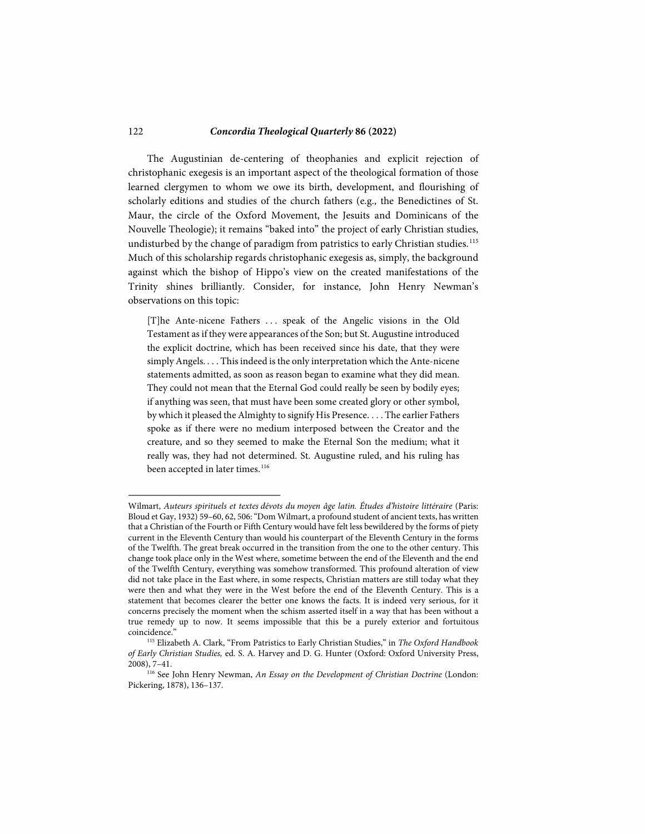The Augustinian de-centering of theophanies and explicit rejection of christophanic exegesis is an important aspect of the theological formation of those learned clergymen to whom we owe its birth, development, and flourishing of scholarly editions and studies of the church fathers (e.g., the Benedictines of St. Maur, the circle of the Oxford Movement, the Jesuits and Dominicans of the Nouvelle Theologie); it remains "baked into" the project of early Christian studies, undisturbed by the change of paradigm from patristics to early Christian studies. [115](#page-25-0) Much of this scholarship regards christophanic exegesis as, simply, the background against which the bishop of Hippo's view on the created manifestations of the Trinity shines brilliantly. Consider, for instance, John Henry Newman's observations on this topic:

[T]he Ante-nicene Fathers . . . speak of the Angelic visions in the Old Testament as if they were appearances of the Son; but St. Augustine introduced the explicit doctrine, which has been received since his date, that they were simply Angels. . . . This indeed is the only interpretation which the Ante-nicene statements admitted, as soon as reason began to examine what they did mean. They could not mean that the Eternal God could really be seen by bodily eyes; if anything was seen, that must have been some created glory or other symbol, by which it pleased the Almighty to signify His Presence. . . . The earlier Fathers spoke as if there were no medium interposed between the Creator and the creature, and so they seemed to make the Eternal Son the medium; what it really was, they had not determined. St. Augustine ruled, and his ruling has been accepted in later times. [116](#page-25-1)

Wilmart, *Auteurs spirituels et textes dévots du moyen âge latin. Études d'histoire littéraire* (Paris: Bloud et Gay, 1932) 59–60, 62, 506: "Dom Wilmart, a profound student of ancient texts, has written that a Christian of the Fourth or Fifth Century would have felt less bewildered by the forms of piety current in the Eleventh Century than would his counterpart of the Eleventh Century in the forms of the Twelfth. The great break occurred in the transition from the one to the other century. This change took place only in the West where, sometime between the end of the Eleventh and the end of the Twelfth Century, everything was somehow transformed. This profound alteration of view did not take place in the East where, in some respects, Christian matters are still today what they were then and what they were in the West before the end of the Eleventh Century. This is a statement that becomes clearer the better one knows the facts. It is indeed very serious, for it concerns precisely the moment when the schism asserted itself in a way that has been without a true remedy up to now. It seems impossible that this be a purely exterior and fortuitous coincidence.'

<span id="page-25-0"></span><sup>115</sup> Elizabeth A. Clark, "From Patristics to Early Christian Studies," in *The Oxford Handbook of Early Christian Studies,* ed. S. A. Harvey and D. G. Hunter (Oxford: Oxford University Press, 2008), 7–41.

<span id="page-25-1"></span><sup>&</sup>lt;sup>116</sup> See John Henry Newman, *An Essay on the Development of Christian Doctrine* (London: Pickering, 1878), 136–137.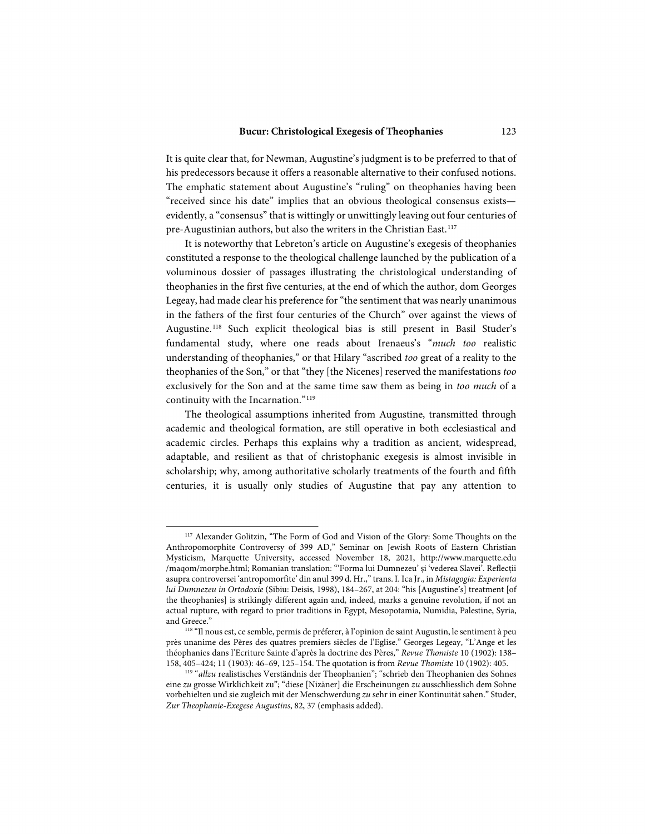It is quite clear that, for Newman, Augustine's judgment is to be preferred to that of his predecessors because it offers a reasonable alternative to their confused notions. The emphatic statement about Augustine's "ruling" on theophanies having been "received since his date" implies that an obvious theological consensus exists evidently, a "consensus" that is wittingly or unwittingly leaving out four centuries of pre-Augustinian authors, but also the writers in the Christian East. [117](#page-26-0) 

It is noteworthy that Lebreton's article on Augustine's exegesis of theophanies constituted a response to the theological challenge launched by the publication of a voluminous dossier of passages illustrating the christological understanding of theophanies in the first five centuries, at the end of which the author, dom Georges Legeay, had made clear his preference for "the sentiment that was nearly unanimous in the fathers of the first four centuries of the Church" over against the views of Augustine. [118](#page-26-1) Such explicit theological bias is still present in Basil Studer's fundamental study, where one reads about Irenaeus's "*much too* realistic understanding of theophanies," or that Hilary "ascribed *too* great of a reality to the theophanies of the Son," or that "they [the Nicenes] reserved the manifestations *too*  exclusively for the Son and at the same time saw them as being in *too much* of a continuity with the Incarnation."<sup>119</sup>

The theological assumptions inherited from Augustine, transmitted through academic and theological formation, are still operative in both ecclesiastical and academic circles. Perhaps this explains why a tradition as ancient, widespread, adaptable, and resilient as that of christophanic exegesis is almost invisible in scholarship; why, among authoritative scholarly treatments of the fourth and fifth centuries, it is usually only studies of Augustine that pay any attention to

<span id="page-26-0"></span><sup>&</sup>lt;sup>117</sup> Alexander Golitzin, "The Form of God and Vision of the Glory: Some Thoughts on the Anthropomorphite Controversy of 399 AD," Seminar on Jewish Roots of Eastern Christian Mysticism, Marquette University, accessed November 18, 2021, http://www.marquette.edu /maqom/morphe.html; Romanian translation: "'Forma lui Dumnezeu' și 'vederea Slavei'. Reflecții asupra controversei 'antropomorfite' din anul 399 d. Hr.," trans. I. Ica Jr., in *Mistagogia: Experienta lui Dumnezeu in Ortodoxie* (Sibiu: Deisis, 1998), 184–267, at 204: "his [Augustine's] treatment [of the theophanies] is strikingly different again and, indeed, marks a genuine revolution, if not an actual rupture, with regard to prior traditions in Egypt, Mesopotamia, Numidia, Palestine, Syria, and Greece." 118 "Il nous est, ce semble, permis de préferer, à l'opinion de saint Augustin, le sentiment à peu

<span id="page-26-1"></span>près unanime des Pères des quatres premiers siècles de l'Eglise." Georges Legeay, "L'Ange et les théophanies dans l'Ecriture Sainte d'après la doctrine des Pères," *Revue Thomiste* 10 (1902): 138– 158, 405–424; 11 (1903): 46–69, 125–154. The quotation is from *Revue Thomiste* 10 (1902): 405.

<span id="page-26-2"></span><sup>119 &</sup>quot;*allzu* realistisches Verständnis der Theophanien"; "schrieb den Theophanien des Sohnes eine *zu* grosse Wirklichkeit zu"; "diese [Nizäner] die Erscheinungen *zu* ausschliesslich dem Sohne vorbehielten und sie zugleich mit der Menschwerdung *zu* sehr in einer Kontinuität sahen." Studer, *Zur Theophanie-Exegese Augustins*, 82, 37 (emphasis added).